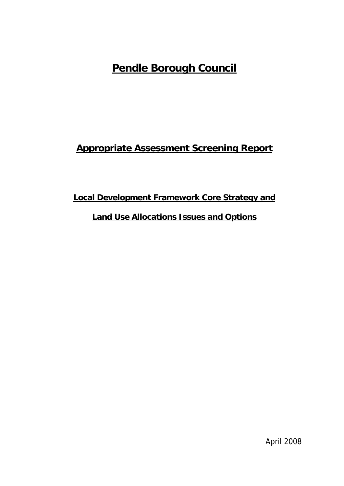# **Pendle Borough Council**

# **Appropriate Assessment Screening Report**

## **Local Development Framework Core Strategy and**

## **Land Use Allocations Issues and Options**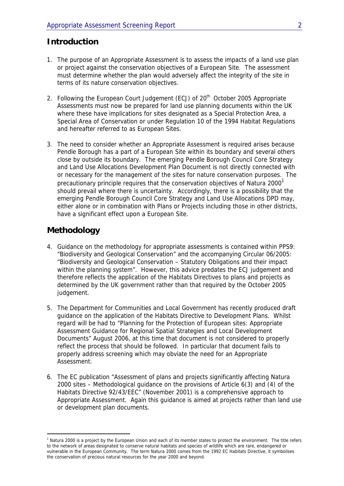### **Introduction**

- 1. The purpose of an Appropriate Assessment is to assess the impacts of a land use plan or project against the conservation objectives of a European Site. The assessment must determine whether the plan would adversely affect the integrity of the site in terms of its nature conservation objectives.
- 2. Following the European Court Judgement (ECJ) of 20<sup>th</sup> October 2005 Appropriate Assessments must now be prepared for land use planning documents within the UK where these have implications for sites designated as a Special Protection Area, a Special Area of Conservation or under Regulation 10 of the 1994 Habitat Regulations and hereafter referred to as European Sites.
- 3. The need to consider whether an Appropriate Assessment is required arises because Pendle Borough has a part of a European Site within its boundary and several others close by outside its boundary. The emerging Pendle Borough Council Core Strategy and Land Use Allocations Development Plan Document is not directly connected with or necessary for the management of the sites for nature conservation purposes. The precautionary principle requires that the conservation objectives of Natura 2000 $^1$ should prevail where there is uncertainty. Accordingly, there is a possibility that the emerging Pendle Borough Council Core Strategy and Land Use Allocations DPD may, either alone or in combination with Plans or Projects including those in other districts, have a significant effect upon a European Site.

### **Methodology**

 $\overline{a}$ 

- 4. Guidance on the methodology for appropriate assessments is contained within PPS9: "Biodiversity and Geological Conservation" and the accompanying Circular 06/2005: "Biodiversity and Geological Conservation – Statutory Obligations and their impact within the planning system". However, this advice predates the ECJ judgement and therefore reflects the application of the Habitats Directives to plans and projects as determined by the UK government rather than that required by the October 2005 judgement.
- 5. The Department for Communities and Local Government has recently produced draft guidance on the application of the Habitats Directive to Development Plans. Whilst regard will be had to "Planning for the Protection of European sites: Appropriate Assessment Guidance for Regional Spatial Strategies and Local Development Documents" August 2006, at this time that document is not considered to properly reflect the process that should be followed. In particular that document fails to properly address screening which may obviate the need for an Appropriate Assessment.
- 6. The EC publication "Assessment of plans and projects significantly affecting Natura 2000 sites – Methodological guidance on the provisions of Article 6(3) and (4) of the Habitats Directive 92/43/EEC" (November 2001) is a comprehensive approach to Appropriate Assessment. Again this guidance is aimed at projects rather than land use or development plan documents.

<sup>&</sup>lt;sup>1</sup> Natura 2000 is a project by the European Union and each of its member states to protect the environment. The title refers to the network of areas designated to conserve natural habitats and species of wildlife which are rare, endangered or vulnerable in the European Community. The term Natura 2000 comes from the 1992 EC Habitats Directive, it symbolises the conservation of precious natural resources for the year 2000 and beyond.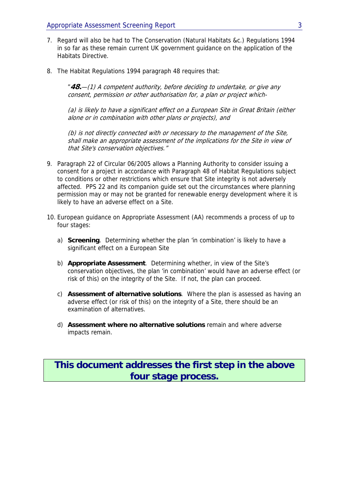- 7. Regard will also be had to The Conservation (Natural Habitats &c.) Regulations 1994 in so far as these remain current UK government guidance on the application of the Habitats Directive.
- 8. The Habitat Regulations 1994 paragraph 48 requires that:

"**48.**—(1) A competent authority, before deciding to undertake, or give any consent, permission or other authorisation for, a plan or project which-

(a) is likely to have a significant effect on a European Site in Great Britain (either alone or in combination with other plans or projects), and

(b) is not directly connected with or necessary to the management of the Site, shall make an appropriate assessment of the implications for the Site in view of that Site's conservation objectives."

- 9. Paragraph 22 of Circular 06/2005 allows a Planning Authority to consider issuing a consent for a project in accordance with Paragraph 48 of Habitat Regulations subject to conditions or other restrictions which ensure that Site integrity is not adversely affected. PPS 22 and its companion guide set out the circumstances where planning permission may or may not be granted for renewable energy development where it is likely to have an adverse effect on a Site.
- 10. European guidance on Appropriate Assessment (AA) recommends a process of up to four stages:
	- a) **Screening**. Determining whether the plan 'in combination' is likely to have a significant effect on a European Site
	- b) **Appropriate Assessment**. Determining whether, in view of the Site's conservation objectives, the plan 'in combination' would have an adverse effect (or risk of this) on the integrity of the Site. If not, the plan can proceed.
	- c) **Assessment of alternative solutions**. Where the plan is assessed as having an adverse effect (or risk of this) on the integrity of a Site, there should be an examination of alternatives.
	- d) **Assessment where no alternative solutions** remain and where adverse impacts remain.

## **This document addresses the first step in the above four stage process.**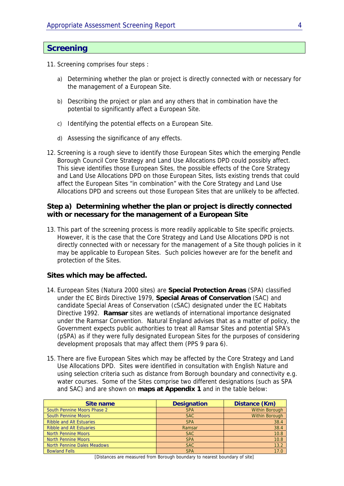## **Screening**

- 11. Screening comprises four steps :
	- a) Determining whether the plan or project is directly connected with or necessary for the management of a European Site.
	- b) Describing the project or plan and any others that in combination have the potential to significantly affect a European Site.
	- c) Identifying the potential effects on a European Site.
	- d) Assessing the significance of any effects.
- 12. Screening is a rough sieve to identify those European Sites which the emerging Pendle Borough Council Core Strategy and Land Use Allocations DPD could possibly affect. This sieve identifies those European Sites, the possible effects of the Core Strategy and Land Use Allocations DPD on those European Sites, lists existing trends that could affect the European Sites "in combination" with the Core Strategy and Land Use Allocations DPD and screens out those European Sites that are unlikely to be affected.

### **Step a) Determining whether the plan or project is directly connected with or necessary for the management of a European Site**

13. This part of the screening process is more readily applicable to Site specific projects. However, it is the case that the Core Strategy and Land Use Allocations DPD is not directly connected with or necessary for the management of a Site though policies in it may be applicable to European Sites. Such policies however are for the benefit and protection of the Sites.

### **Sites which may be affected.**

- 14. European Sites (Natura 2000 sites) are **Special Protection Areas** (SPA) classified under the EC Birds Directive 1979, **Special Areas of Conservation** (SAC) and candidate Special Areas of Conservation (cSAC) designated under the EC Habitats Directive 1992. **Ramsar** sites are wetlands of international importance designated under the Ramsar Convention. Natural England advises that as a matter of policy, the Government expects public authorities to treat all Ramsar Sites and potential SPA's (pSPA) as if they were fully designated European Sites for the purposes of considering development proposals that may affect them (PPS 9 para 6).
- 15. There are five European Sites which may be affected by the Core Strategy and Land Use Allocations DPD. Sites were identified in consultation with English Nature and using selection criteria such as distance from Borough boundary and connectivity e.g. water courses. Some of the Sites comprise two different designations (such as SPA and SAC) and are shown on **maps at Appendix 1** and in the table below:

| Site name                          | <b>Designation</b> | Distance (Km)         |
|------------------------------------|--------------------|-----------------------|
| South Pennine Moors Phase 2        | <b>SPA</b>         | <b>Within Borough</b> |
| <b>South Pennine Moors</b>         | <b>SAC</b>         | <b>Within Borough</b> |
| <b>Ribble and Alt Estuaries</b>    | <b>SPA</b>         | 38.4                  |
| <b>Ribble and Alt Estuaries</b>    | Ramsar             | 38.4                  |
| <b>North Pennine Moors</b>         | <b>SAC</b>         | 10.8                  |
| <b>North Pennine Moors</b>         | <b>SPA</b>         | 10.8                  |
| <b>North Pennine Dales Meadows</b> | <b>SAC</b>         | 13.2                  |
| <b>Bowland Fells</b>               | <b>SPA</b>         | 17.0                  |

[Distances are measured from Borough boundary to nearest boundary of site]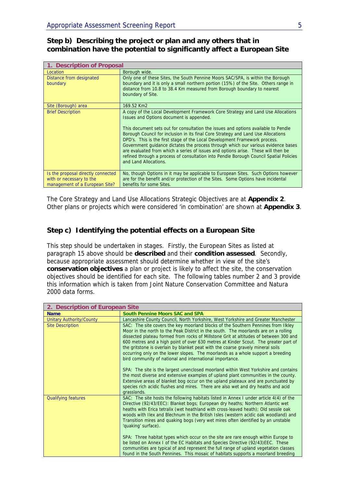### **Step b) Describing the project or plan and any others that in combination have the potential to significantly affect a European Site**

| 1. Description of Proposal                                                                       |                                                                                                                                                                                                                                                                                                                                                                                                                                                                                                                                                                                                                                                                                    |  |  |
|--------------------------------------------------------------------------------------------------|------------------------------------------------------------------------------------------------------------------------------------------------------------------------------------------------------------------------------------------------------------------------------------------------------------------------------------------------------------------------------------------------------------------------------------------------------------------------------------------------------------------------------------------------------------------------------------------------------------------------------------------------------------------------------------|--|--|
| Location                                                                                         | Borough wide.                                                                                                                                                                                                                                                                                                                                                                                                                                                                                                                                                                                                                                                                      |  |  |
| Distance from designated<br>boundary                                                             | Only one of these Sites, the South Pennine Moors SAC/SPA, is within the Borough<br>boundary and it is only a small northern portion (15%) of the Site. Others range in<br>distance from 10.8 to 38.4 Km measured from Borough boundary to nearest<br>boundary of Site.                                                                                                                                                                                                                                                                                                                                                                                                             |  |  |
|                                                                                                  |                                                                                                                                                                                                                                                                                                                                                                                                                                                                                                                                                                                                                                                                                    |  |  |
| Site (Borough) area                                                                              | 169.52 Km2                                                                                                                                                                                                                                                                                                                                                                                                                                                                                                                                                                                                                                                                         |  |  |
| <b>Brief Description</b>                                                                         | A copy of the Local Development Framework Core Strategy and Land Use Allocations<br>Issues and Options document is appended.<br>This document sets out for consultation the issues and options available to Pendle<br>Borough Council for inclusion in its final Core Strategy and Land Use Allocations<br>DPD's. This is the first stage of the Local Development Framework process.<br>Government quidance dictates the process through which our various evidence bases<br>are evaluated from which a series of issues and options arise. These will then be<br>refined through a process of consultation into Pendle Borough Council Spatial Policies<br>and Land Allocations. |  |  |
| Is the proposal directly connected<br>with or necessary to the<br>management of a European Site? | No, though Options in it may be applicable to European Sites. Such Options however<br>are for the benefit and/or protection of the Sites. Some Options have incidental<br>benefits for some Sites.                                                                                                                                                                                                                                                                                                                                                                                                                                                                                 |  |  |

The Core Strategy and Land Use Allocations Strategic Objectives are at **Appendix 2**. Other plans or projects which were considered 'in combination' are shown at **Appendix 3**.

### **Step c) Identifying the potential effects on a European Site**

This step should be undertaken in stages. Firstly, the European Sites as listed at paragraph 15 above should be **described** and their **condition assessed**. Secondly, because appropriate assessment should determine whether in view of the site's **conservation objectives** a plan or project is likely to affect the site, the conservation objectives should be identified for each site. The following tables number 2 and 3 provide this information which is taken from Joint Nature Conservation Committee and Natura 2000 data forms.

| 2. Description of European Site |                                                                                                                                                                                                                                                                                                                                                                                                                                                                                                                                                                                            |
|---------------------------------|--------------------------------------------------------------------------------------------------------------------------------------------------------------------------------------------------------------------------------------------------------------------------------------------------------------------------------------------------------------------------------------------------------------------------------------------------------------------------------------------------------------------------------------------------------------------------------------------|
| <b>Name</b>                     | <b>South Pennine Moors SAC and SPA</b>                                                                                                                                                                                                                                                                                                                                                                                                                                                                                                                                                     |
| Unitary Authority/County        | Lancashire County Council, North Yorkshire, West Yorkshire and Greater Manchester                                                                                                                                                                                                                                                                                                                                                                                                                                                                                                          |
| <b>Site Description</b>         | SAC: The site covers the key moorland blocks of the Southern Pennines from Ilkley<br>Moor in the north to the Peak District in the south. The moorlands are on a rolling<br>dissected plateau formed from rocks of Millstone Grit at altitudes of between 300 and<br>600 metres and a high point of over 630 metres at Kinder Scout. The greater part of<br>the gritstone is overlain by blanket peat with the coarse gravely mineral soils<br>occurring only on the lower slopes. The moorlands as a whole support a breeding<br>bird community of national and international importance. |
|                                 | SPA: The site is the largest unenclosed moorland within West Yorkshire and contains<br>the most diverse and extensive examples of upland plant communities in the county.<br>Extensive areas of blanket bog occur on the upland plateaux and are punctuated by<br>species rich acidic flushes and mires. There are also wet and dry heaths and acid<br>grasslands.                                                                                                                                                                                                                         |
| <b>Qualifying features</b>      | SAC: The site hosts the following habitats listed in Annex I under article 4(4) of the<br>Directive (92/43/EEC): Blanket bogs; European dry heaths; Northern Atlantic wet<br>heaths with Erica tetralix (wet heathland with cross-leaved heath); Old sessile oak<br>woods with Ilex and Blechnum in the British Isles (western acidic oak woodland) and<br>Transition mires and quaking bogs (very wet mires often identified by an unstable<br>'quaking' surface).                                                                                                                        |
|                                 | SPA: Three habitat types which occur on the site are rare enough within Europe to<br>be listed on Annex I of the EC Habitats and Species Directive (92/43)EEC. These<br>communities are typical of and represent the full range of upland vegetation classes<br>found in the South Pennines. This mosaic of habitats supports a moorland breeding                                                                                                                                                                                                                                          |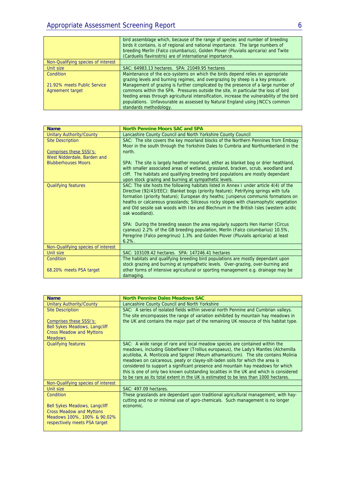|                                                 | bird assemblage which, because of the range of species and number of breeding<br>birds it contains, is of regional and national importance. The large numbers of<br>breeding Merlin (Falco columbarius), Golden Plover (Pluvialis apricaria) and Twite<br>(Carduelis flavirostris) are of international importance.                                                             |
|-------------------------------------------------|---------------------------------------------------------------------------------------------------------------------------------------------------------------------------------------------------------------------------------------------------------------------------------------------------------------------------------------------------------------------------------|
| Non-Qualifying species of interest              |                                                                                                                                                                                                                                                                                                                                                                                 |
| Unit size                                       | SAC: 64983.13 hectares. SPA: 21049.95 hectares                                                                                                                                                                                                                                                                                                                                  |
| Condition                                       | Maintenance of the eco-systems on which the birds depend relies on appropriate<br>grazing levels and burning regimes, and overgrazing by sheep is a key pressure.                                                                                                                                                                                                               |
| 21.92% meets Public Service<br>Agreement target | Management of grazing is further complicated by the presence of a large number of<br>commons within the SPA. Pressures outside the site, in particular the loss of bird<br>feeding areas through agricultural intensification, increase the vulnerability of the bird<br>populations. Unfavourable as assessed by Natural England using JNCC's common<br>standards methodology. |

| <b>Name</b>                        | <b>North Pennine Moors SAC and SPA</b>                                                 |
|------------------------------------|----------------------------------------------------------------------------------------|
| <b>Unitary Authority/County</b>    | Lancashire County Council and North Yorkshire County Council                           |
| <b>Site Description</b>            | SAC: The site covers the key moorland blocks of the Northern Pennines from Embsay      |
|                                    | Moor in the south through the Yorkshire Dales to Cumbria and Northumberland in the     |
| Comprises these SSSI's:            | north.                                                                                 |
| West Nidderdale, Barden and        |                                                                                        |
| <b>Blubberhouses Moors</b>         | SPA: The site is largely heather moorland, either as blanket bog or drier heathland,   |
|                                    | with smaller associated areas of wetland, grassland, bracken, scrub, woodland and      |
|                                    | cliff. The habitats and qualifying breeding bird populations are mostly dependant      |
|                                    | upon stock grazing and burning at sympathetic levels.                                  |
| <b>Qualifying features</b>         | SAC: The site hosts the following habitats listed in Annex I under article 4(4) of the |
|                                    | Directive (92/43/EEC): Blanket bogs (priority feature); Petrifying springs with tufa   |
|                                    | formation (priority feature); European dry heaths; Juniperus communis formations on    |
|                                    | heaths or calcareous grasslands; Siliceous rocky slopes with chasmophytic vegetation   |
|                                    | and Old sessile oak woods with Ilex and Blechnum in the British Isles (western acidic  |
|                                    | oak woodland).                                                                         |
|                                    | SPA: During the breeding season the area regularly supports Hen Harrier (Circus        |
|                                    | cyaneus) 2.2% of the GB breeding population, Merlin (Falco columbarius) 10.5%,         |
|                                    | Peregrine (Falco peregrinus) 1.3% and Golden Plover (Pluvialis apricaria) at least     |
|                                    | $6.2\%$ .                                                                              |
| Non-Qualifying species of interest |                                                                                        |
| Unit size                          | SAC: 103109.42 hectares. SPA: 147246.41 hectares                                       |
| <b>Condition</b>                   | The habitats and qualifying breeding bird populations are mostly dependant upon        |
|                                    | stock grazing and burning at sympathetic levels. Over-grazing, over-burning and        |
| 68.20% meets PSA target            | other forms of intensive agricultural or sporting management e.g. drainage may be      |
|                                    | damaging.                                                                              |

| <b>Name</b>                          | <b>North Pennine Dales Meadows SAC</b>                                                 |
|--------------------------------------|----------------------------------------------------------------------------------------|
|                                      |                                                                                        |
| <b>Unitary Authority/County</b>      | Lancashire County Council and North Yorkshire                                          |
| <b>Site Description</b>              | SAC: A series of isolated fields within several north Pennine and Cumbrian valleys.    |
|                                      | The site encompasses the range of variation exhibited by mountain hay meadows in       |
| Comprises these SSSI's:              | the UK and contains the major part of the remaining UK resource of this habitat type.  |
| <b>Bell Sykes Meadows, Langcliff</b> |                                                                                        |
| <b>Cross Meadow and Myttons</b>      |                                                                                        |
|                                      |                                                                                        |
| <b>Meadows</b>                       |                                                                                        |
| <b>Qualifying features</b>           | SAC: A wide range of rare and local meadow species are contained within the            |
|                                      | meadows, including Globeflower (Trollius europaeus), the Lady's Mantles (Alchemilla    |
|                                      | acutiloba, A. Monticola and Spignel (Meum athamanticum). The site contains Molinia     |
|                                      | meadows on calcareous, peaty or clayey-silt-laden soils for which the area is          |
|                                      | considered to support a significant presence and mountain hay meadows for which        |
|                                      | this is one of only two known outstanding localities in the UK and which is considered |
|                                      | to be rare as its total extent in the UK is estimated to be less than 1000 hectares.   |
|                                      |                                                                                        |
| Non-Qualifying species of interest   |                                                                                        |
| Unit size                            | SAC: 497.09 hectares.                                                                  |
| Condition                            | These grasslands are dependant upon traditional agricultural management, with hay-     |
|                                      | cutting and no or minimal use of agro-chemicals. Such management is no longer          |
| <b>Bell Sykes Meadows, Langcliff</b> | economic.                                                                              |
| <b>Cross Meadow and Myttons</b>      |                                                                                        |
|                                      |                                                                                        |
| Meadows 100%, 100% & 90.02%          |                                                                                        |
| respectively meets PSA target        |                                                                                        |
|                                      |                                                                                        |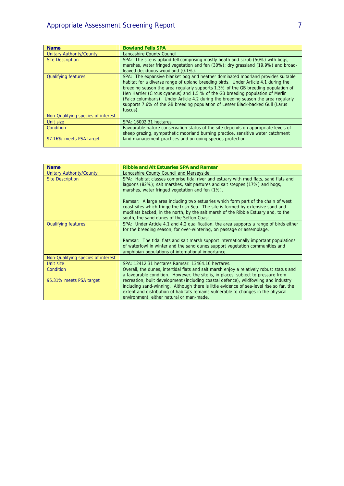| <b>Name</b>                        | <b>Bowland Fells SPA</b>                                                            |  |  |
|------------------------------------|-------------------------------------------------------------------------------------|--|--|
| Unitary Authority/County           | Lancashire County Council                                                           |  |  |
| <b>Site Description</b>            | SPA: The site is upland fell comprising mostly heath and scrub (50%) with bogs,     |  |  |
|                                    | marshes, water fringed vegetation and fen (30%); dry grassland (19.9%) and broad-   |  |  |
|                                    | leaved deciduous woodland (0.1%).                                                   |  |  |
| <b>Qualifying features</b>         | SPA: The expansive blanket bog and heather dominated moorland provides suitable     |  |  |
|                                    | habitat for a diverse range of upland breeding birds. Under Article 4.1 during the  |  |  |
|                                    | breeding season the area regularly supports 1.3% of the GB breeding population of   |  |  |
|                                    | Hen Harrier (Circus cyaneus) and 1.5 % of the GB breeding population of Merlin      |  |  |
|                                    | (Falco columbaris). Under Article 4.2 during the breeding season the area regularly |  |  |
|                                    | supports 7.6% of the GB breeding population of Lesser Black-backed Gull (Larus      |  |  |
|                                    | fuscus).                                                                            |  |  |
| Non-Qualifying species of interest |                                                                                     |  |  |
| Unit size                          | SPA: 16002.31 hectares                                                              |  |  |
| Condition                          | Favourable nature conservation status of the site depends on appropriate levels of  |  |  |
|                                    | sheep grazing, sympathetic moorland burning practice, sensitive water catchment     |  |  |
| 97.16% meets PSA target            | land management practices and on going species protection.                          |  |  |
|                                    |                                                                                     |  |  |

| <b>Name</b>                        | <b>Ribble and Alt Estuaries SPA and Ramsar</b>                                                                                                                                                                                                                                                                                                                                                  |  |  |
|------------------------------------|-------------------------------------------------------------------------------------------------------------------------------------------------------------------------------------------------------------------------------------------------------------------------------------------------------------------------------------------------------------------------------------------------|--|--|
| <b>Unitary Authority/County</b>    | Lancashire County Council and Merseyside                                                                                                                                                                                                                                                                                                                                                        |  |  |
| <b>Site Description</b>            | SPA: Habitat classes comprise tidal river and estuary with mud flats, sand flats and<br>lagoons (82%); salt marshes, salt pastures and salt steppes (17%) and bogs,<br>marshes, water fringed vegetation and fen (1%).                                                                                                                                                                          |  |  |
|                                    | Ramsar: A large area including two estuaries which form part of the chain of west<br>coast sites which fringe the Irish Sea. The site is formed by extensive sand and<br>mudflats backed, in the north, by the salt marsh of the Ribble Estuary and, to the<br>south, the sand dunes of the Sefton Coast.                                                                                       |  |  |
| <b>Qualifying features</b>         | SPA: Under Article 4.1 and 4.2 qualification, the area supports a range of birds either<br>for the breeding season, for over-wintering, on passage or assemblage.<br>Ramsar: The tidal flats and salt marsh support internationally important populations<br>of waterfowl in winter and the sand dunes support vegetation communities and<br>amphibian populations of international importance. |  |  |
| Non-Qualifying species of interest |                                                                                                                                                                                                                                                                                                                                                                                                 |  |  |
| Unit size                          | SPA: 12412.31 hectares Ramsar: 13464.10 hectares.                                                                                                                                                                                                                                                                                                                                               |  |  |
| <b>Condition</b>                   | Overall, the dunes, intertidal flats and salt marsh enjoy a relatively robust status and<br>a favourable condition. However, the site is, in places, subject to pressure from                                                                                                                                                                                                                   |  |  |
| 95.31% meets PSA target            | recreation, built development (including coastal defence), wildfowling and industry<br>including sand-winning. Although there is little evidence of sea-level rise so far, the<br>extent and distribution of habitats remains vulnerable to changes in the physical<br>environment, either natural or man-made.                                                                                 |  |  |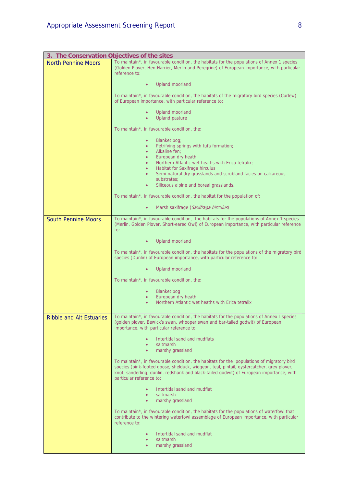|                                 | 3. The Conservation Objectives of the sites                                                                                                                                                                                                                                                                    |  |  |  |  |
|---------------------------------|----------------------------------------------------------------------------------------------------------------------------------------------------------------------------------------------------------------------------------------------------------------------------------------------------------------|--|--|--|--|
| <b>North Pennine Moors</b>      | To maintain*, in favourable condition, the habitats for the populations of Annex 1 species                                                                                                                                                                                                                     |  |  |  |  |
|                                 | (Golden Plover, Hen Harrier, Merlin and Peregrine) of European importance, with particular<br>reference to:                                                                                                                                                                                                    |  |  |  |  |
|                                 | Upland moorland                                                                                                                                                                                                                                                                                                |  |  |  |  |
|                                 | To maintain*, in favourable condition, the habitats of the migratory bird species (Curlew)<br>of European importance, with particular reference to:                                                                                                                                                            |  |  |  |  |
|                                 | Upland moorland<br><b>Upland pasture</b>                                                                                                                                                                                                                                                                       |  |  |  |  |
|                                 | To maintain*, in favourable condition, the:                                                                                                                                                                                                                                                                    |  |  |  |  |
|                                 | Blanket bog;<br>٠<br>Petrifying springs with tufa formation;<br>$\bullet$                                                                                                                                                                                                                                      |  |  |  |  |
|                                 | Alkaline fen;<br>٠                                                                                                                                                                                                                                                                                             |  |  |  |  |
|                                 | European dry heath;<br>٠                                                                                                                                                                                                                                                                                       |  |  |  |  |
|                                 | Northern Atlantic wet heaths with Erica tetralix;<br>$\bullet$                                                                                                                                                                                                                                                 |  |  |  |  |
|                                 | Habitat for Saxifraga hirculus<br>٠<br>Semi-natural dry grasslands and scrubland facies on calcareous<br>٠                                                                                                                                                                                                     |  |  |  |  |
|                                 | substrates:                                                                                                                                                                                                                                                                                                    |  |  |  |  |
|                                 | Siliceous alpine and boreal grasslands.<br>$\bullet$                                                                                                                                                                                                                                                           |  |  |  |  |
|                                 | To maintain*, in favourable condition, the habitat for the population of:                                                                                                                                                                                                                                      |  |  |  |  |
|                                 | Marsh saxifrage (Saxifraga hirculus)<br>$\bullet$                                                                                                                                                                                                                                                              |  |  |  |  |
| <b>South Pennine Moors</b>      | To maintain*, in favourable condition, the habitats for the populations of Annex 1 species<br>(Merlin, Golden Plover, Short-eared Owl) of European importance, with particular reference<br>to:                                                                                                                |  |  |  |  |
|                                 | <b>Upland moorland</b>                                                                                                                                                                                                                                                                                         |  |  |  |  |
|                                 | To maintain*, in favourable condition, the habitats for the populations of the migratory bird<br>species (Dunlin) of European importance, with particular reference to:                                                                                                                                        |  |  |  |  |
|                                 | <b>Upland moorland</b>                                                                                                                                                                                                                                                                                         |  |  |  |  |
|                                 | To maintain*, in favourable condition, the:                                                                                                                                                                                                                                                                    |  |  |  |  |
|                                 | <b>Blanket</b> bog                                                                                                                                                                                                                                                                                             |  |  |  |  |
|                                 | European dry heath<br>Northern Atlantic wet heaths with Erica tetralix                                                                                                                                                                                                                                         |  |  |  |  |
|                                 |                                                                                                                                                                                                                                                                                                                |  |  |  |  |
| <b>Ribble and Alt Estuaries</b> | To maintain*, in favourable condition, the habitats for the populations of Annex I species<br>(golden plover, Bewick's swan, whooper swan and bar-tailed godwit) of European<br>importance, with particular reference to:                                                                                      |  |  |  |  |
|                                 | Intertidal sand and mudflats<br>$\bullet$                                                                                                                                                                                                                                                                      |  |  |  |  |
|                                 | saltmarsh<br>$\bullet$                                                                                                                                                                                                                                                                                         |  |  |  |  |
|                                 | marshy grassland<br>$\bullet$                                                                                                                                                                                                                                                                                  |  |  |  |  |
|                                 | To maintain*, in favourable condition, the habitats for the populations of migratory bird<br>species (pink-footed goose, shelduck, widgeon, teal, pintail, oystercatcher, grey plover,<br>knot, sanderling, dunlin, redshank and black-tailed godwit) of European importance, with<br>particular reference to: |  |  |  |  |
|                                 | Intertidal sand and mudflat<br>$\bullet$                                                                                                                                                                                                                                                                       |  |  |  |  |
|                                 | saltmarsh<br>$\bullet$<br>marshy grassland<br>$\bullet$                                                                                                                                                                                                                                                        |  |  |  |  |
|                                 | To maintain*, in favourable condition, the habitats for the populations of waterfowl that<br>contribute to the wintering waterfowl assemblage of European importance, with particular<br>reference to:                                                                                                         |  |  |  |  |
|                                 | Intertidal sand and mudflat                                                                                                                                                                                                                                                                                    |  |  |  |  |
|                                 | saltmarsh<br>$\bullet$<br>marshy grassland                                                                                                                                                                                                                                                                     |  |  |  |  |
|                                 |                                                                                                                                                                                                                                                                                                                |  |  |  |  |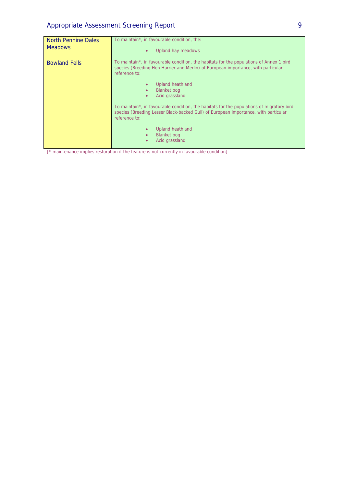| <b>North Pennine Dales</b><br><b>Meadows</b> | To maintain*, in favourable condition, the:<br>Upland hay meadows<br>$\bullet$                                                                                                                                                                                                      |
|----------------------------------------------|-------------------------------------------------------------------------------------------------------------------------------------------------------------------------------------------------------------------------------------------------------------------------------------|
| <b>Bowland Fells</b>                         | To maintain*, in favourable condition, the habitats for the populations of Annex 1 bird<br>species (Breeding Hen Harrier and Merlin) of European importance, with particular<br>reference to:<br>Upland heathland<br><b>Blanket</b> bog<br>$\bullet$<br>Acid grassland<br>$\bullet$ |
|                                              | To maintain*, in favourable condition, the habitats for the populations of migratory bird<br>species (Breeding Lesser Black-backed Gull) of European importance, with particular<br>reference to:                                                                                   |
|                                              | <b>Upland heathland</b><br><b>Blanket</b> bog<br>Acid grassland                                                                                                                                                                                                                     |

[\* maintenance implies restoration if the feature is not currently in favourable condition]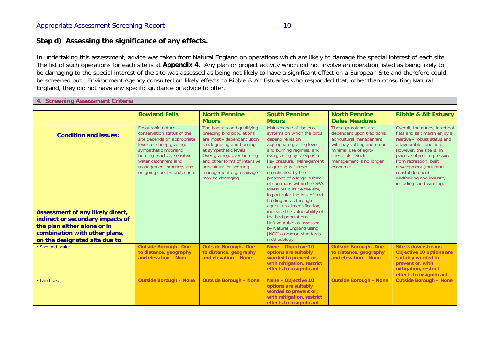### **Step d) Assessing the significance of any effects.**

In undertaking this assessment, advice was taken from Natural England on operations which are likely to damage the special interest of each site. The list of such operations for each site is at **Appendix 4**. Any plan or project activity which did not involve an operation listed as being likely to be damaging to the special interest of the site was assessed as being not likely to have a significant effect on a European Site and therefore could be screened out. Environment Agency consulted on likely effects to Ribble & Alt Estuaries who responded that, other than consulting Natural England, they did not have any specific guidance or advice to offer.

### **4. Screening Assessment Criteria**

|                                                                                                                                                                                                        | <b>Bowland Fells</b>                                                                                                                                                                                                                                  | <b>North Pennine</b><br><b>Moors</b>                                                                                                                                                                                                                                                   | <b>South Pennine</b><br><b>Moors</b>                                                                                                                                                                                                                                                                                                                                                                                                                                                                                                                                                           | <b>North Pennine</b><br><b>Dales Meadows</b>                                                                                                                                                    | <b>Ribble &amp; Alt Estuary</b>                                                                                                                                                                                                                                                                                      |
|--------------------------------------------------------------------------------------------------------------------------------------------------------------------------------------------------------|-------------------------------------------------------------------------------------------------------------------------------------------------------------------------------------------------------------------------------------------------------|----------------------------------------------------------------------------------------------------------------------------------------------------------------------------------------------------------------------------------------------------------------------------------------|------------------------------------------------------------------------------------------------------------------------------------------------------------------------------------------------------------------------------------------------------------------------------------------------------------------------------------------------------------------------------------------------------------------------------------------------------------------------------------------------------------------------------------------------------------------------------------------------|-------------------------------------------------------------------------------------------------------------------------------------------------------------------------------------------------|----------------------------------------------------------------------------------------------------------------------------------------------------------------------------------------------------------------------------------------------------------------------------------------------------------------------|
| <b>Condition and issues:</b><br>Assessment of any likely direct,<br>indirect or secondary impacts of<br>the plan either alone or in<br>combination with other plans,<br>on the designated site due to: | Favourable nature<br>conservation status of the<br>site depends on appropriate<br>levels of sheep grazing,<br>sympathetic moorland<br>burning practice, sensitive<br>water catchment land<br>management practices and<br>on going species protection. | The habitats and qualifying<br>breeding bird populations<br>are mostly dependant upon<br>stock grazing and burning<br>at sympathetic levels.<br>Over-grazing, over-burning<br>and other forms of intensive<br>agricultural or sporting<br>management e.g. drainage<br>may be damaging. | Maintenance of the eco-<br>systems on which the birds<br>depend relies on<br>appropriate grazing levels<br>and burning regimes, and<br>overgrazing by sheep is a<br>key pressure. Management<br>of grazing is further<br>complicated by the<br>presence of a large number<br>of commons within the SPA.<br>Pressures outside the site.<br>in particular the loss of bird<br>feeding areas through<br>agricultural intensification,<br>increase the vulnerability of<br>the bird populations.<br>Unfavourable as assessed<br>by Natural England using<br>JNCC's common standards<br>methodology | These grasslands are<br>dependant upon traditional<br>agricultural management,<br>with hay-cutting and no or<br>minimal use of agro-<br>chemicals. Such<br>management is no longer<br>economic. | Overall, the dunes, intertidal<br>flats and salt marsh enjoy a<br>relatively robust status and<br>a favourable condition.<br>However, the site is, in<br>places, subject to pressure<br>from recreation, built<br>development (including<br>coastal defence).<br>wildfowling and industry<br>including sand-winning. |
| • Size and scale:                                                                                                                                                                                      | <b>Outside Borough. Due</b><br>to distance, geography<br>and elevation - None                                                                                                                                                                         | <b>Outside Borough. Due</b><br>to distance, geography<br>and elevation - None                                                                                                                                                                                                          | None - Objective 10<br>options are suitably<br>worded to prevent or,<br>with mitigation, restrict<br>effects to insignificant                                                                                                                                                                                                                                                                                                                                                                                                                                                                  | <b>Outside Borough. Due</b><br>to distance, geography<br>and elevation - None                                                                                                                   | Site is downstream,<br>Objective 10 options are<br>suitably worded to<br>prevent or, with<br>mitigation, restrict<br>effects to insignificant                                                                                                                                                                        |
| • Land-take:                                                                                                                                                                                           | <b>Outside Borough - None</b>                                                                                                                                                                                                                         | <b>Outside Borough - None</b>                                                                                                                                                                                                                                                          | None - Objective 10<br>options are suitably<br>worded to prevent or,<br>with mitigation, restrict<br>effects to insignificant                                                                                                                                                                                                                                                                                                                                                                                                                                                                  | <b>Outside Borough - None</b>                                                                                                                                                                   | <b>Outside Borough - None</b>                                                                                                                                                                                                                                                                                        |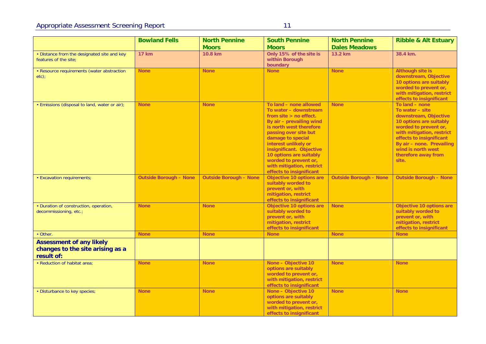| ۰,<br>×. | I |  |
|----------|---|--|
|          |   |  |
|          |   |  |
|          |   |  |

|                                                                                   | <b>Bowland Fells</b>          | <b>North Pennine</b>          | <b>South Pennine</b>                                                                                                                                                                                                                                                                                                                              | <b>North Pennine</b>          | <b>Ribble &amp; Alt Estuary</b>                                                                                                                                                                                                                            |
|-----------------------------------------------------------------------------------|-------------------------------|-------------------------------|---------------------------------------------------------------------------------------------------------------------------------------------------------------------------------------------------------------------------------------------------------------------------------------------------------------------------------------------------|-------------------------------|------------------------------------------------------------------------------------------------------------------------------------------------------------------------------------------------------------------------------------------------------------|
|                                                                                   |                               | <b>Moors</b>                  | <b>Moors</b>                                                                                                                                                                                                                                                                                                                                      | <b>Dales Meadows</b>          |                                                                                                                                                                                                                                                            |
| • Distance from the designated site and key<br>features of the site:              | <b>17 km</b>                  | 10.8 km                       | Only 15% of the site is<br>within Borough<br>boundary                                                                                                                                                                                                                                                                                             | 13.2 km                       | 38.4 km.                                                                                                                                                                                                                                                   |
| • Resource requirements (water abstraction<br>$etc$ );                            | <b>None</b>                   | <b>None</b>                   | <b>None</b>                                                                                                                                                                                                                                                                                                                                       | <b>None</b>                   | <b>Although site is</b><br>downstream, Objective<br>10 options are suitably<br>worded to prevent or,<br>with mitigation, restrict<br>effects to insignificant                                                                                              |
| • Emissions (disposal to land, water or air);                                     | <b>None</b>                   | <b>None</b>                   | To land - none allowed<br>To water - downstream<br>from site $>$ no effect.<br>By air - prevailing wind<br>is north west therefore<br>passing over site but<br>damage to special<br>interest unlikely or<br>insignificant. Objective<br>10 options are suitably<br>worded to prevent or,<br>with mitigation, restrict<br>effects to insignificant | <b>None</b>                   | To land - none<br>To water - site<br>downstream, Objective<br>10 options are suitably<br>worded to prevent or,<br>with mitigation, restrict<br>effects to insignificant<br>By air - none. Prevailing<br>wind is north west<br>therefore away from<br>site. |
| · Excavation requirements;                                                        | <b>Outside Borough - None</b> | <b>Outside Borough - None</b> | Objective 10 options are<br>suitably worded to<br>prevent or, with<br>mitigation, restrict<br>effects to insignificant                                                                                                                                                                                                                            | <b>Outside Borough - None</b> | <b>Outside Borough - None</b>                                                                                                                                                                                                                              |
| • Duration of construction, operation,<br>decommissioning, etc.;                  | <b>None</b>                   | <b>None</b>                   | Objective 10 options are<br>suitably worded to<br>prevent or, with<br>mitigation, restrict<br>effects to insignificant                                                                                                                                                                                                                            | <b>None</b>                   | Objective 10 options are<br>suitably worded to<br>prevent or, with<br>mitigation, restrict<br>effects to insignificant                                                                                                                                     |
| • Other.                                                                          | <b>None</b>                   | <b>None</b>                   | <b>None</b>                                                                                                                                                                                                                                                                                                                                       | <b>None</b>                   | <b>None</b>                                                                                                                                                                                                                                                |
| <b>Assessment of any likely</b><br>changes to the site arising as a<br>result of: |                               |                               |                                                                                                                                                                                                                                                                                                                                                   |                               |                                                                                                                                                                                                                                                            |
| • Reduction of habitat area;                                                      | <b>None</b>                   | <b>None</b>                   | None - Objective 10<br>options are suitably<br>worded to prevent or,<br>with mitigation, restrict<br>effects to insignificant                                                                                                                                                                                                                     | <b>None</b>                   | <b>None</b>                                                                                                                                                                                                                                                |
| • Disturbance to key species;                                                     | <b>None</b>                   | <b>None</b>                   | None - Objective 10<br>options are suitably<br>worded to prevent or,<br>with mitigation, restrict<br>effects to insignificant                                                                                                                                                                                                                     | <b>None</b>                   | <b>None</b>                                                                                                                                                                                                                                                |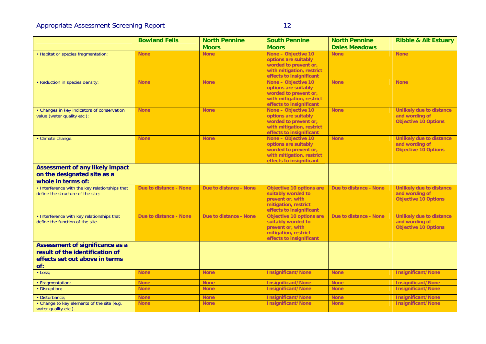|                                                                                                             | <b>Bowland Fells</b>   | <b>North Pennine</b>          | <b>South Pennine</b>                                                                                                          | <b>North Pennine</b>   | <b>Ribble &amp; Alt Estuary</b>                                                  |
|-------------------------------------------------------------------------------------------------------------|------------------------|-------------------------------|-------------------------------------------------------------------------------------------------------------------------------|------------------------|----------------------------------------------------------------------------------|
|                                                                                                             |                        | <b>Moors</b>                  | <b>Moors</b>                                                                                                                  | <b>Dales Meadows</b>   |                                                                                  |
| • Habitat or species fragmentation;                                                                         | <b>None</b>            | <b>None</b>                   | None - Objective 10<br>options are suitably<br>worded to prevent or,<br>with mitigation, restrict<br>effects to insignificant | <b>None</b>            | <b>None</b>                                                                      |
| • Reduction in species density;                                                                             | <b>None</b>            | <b>None</b>                   | None - Objective 10<br>options are suitably<br>worded to prevent or,<br>with mitigation, restrict<br>effects to insignificant | <b>None</b>            | <b>None</b>                                                                      |
| • Changes in key indicators of conservation<br>value (water quality etc.);                                  | <b>None</b>            | <b>None</b>                   | None - Objective 10<br>options are suitably<br>worded to prevent or,<br>with mitigation, restrict<br>effects to insignificant | <b>None</b>            | <b>Unlikely due to distance</b><br>and wording of<br><b>Objective 10 Options</b> |
| · Climate change.                                                                                           | <b>None</b>            | <b>None</b>                   | None - Objective 10<br>options are suitably<br>worded to prevent or,<br>with mitigation, restrict<br>effects to insignificant | <b>None</b>            | <b>Unlikely due to distance</b><br>and wording of<br><b>Objective 10 Options</b> |
| <b>Assessment of any likely impact</b><br>on the designated site as a<br>whole in terms of:                 |                        |                               |                                                                                                                               |                        |                                                                                  |
| • Interference with the key relationships that<br>define the structure of the site;                         | Due to distance - None | Due to distance - None        | Objective 10 options are<br>suitably worded to<br>prevent or, with<br>mitigation, restrict<br>effects to insignificant        | Due to distance - None | Unlikely due to distance<br>and wording of<br><b>Objective 10 Options</b>        |
| • Interference with key relationships that<br>define the function of the site.                              | Due to distance - None | <b>Due to distance - None</b> | Objective 10 options are<br>suitably worded to<br>prevent or, with<br>mitigation, restrict<br>effects to insignificant        | Due to distance - None | <b>Unlikely due to distance</b><br>and wording of<br><b>Objective 10 Options</b> |
| Assessment of significance as a<br>result of the identification of<br>effects set out above in terms<br>of: |                        |                               |                                                                                                                               |                        |                                                                                  |
| · Loss:                                                                                                     | <b>None</b>            | <b>None</b>                   | <b>Insignificant/None</b>                                                                                                     | <b>None</b>            | <b>Insignificant/None</b>                                                        |
| · Fragmentation;                                                                                            | <b>None</b>            | <b>None</b>                   | Insignificant/None                                                                                                            | <b>None</b>            | <b>Insignificant/None</b>                                                        |
| • Disruption;                                                                                               | <b>None</b>            | <b>None</b>                   | <b>Insignificant/None</b>                                                                                                     | <b>None</b>            | <b>Insignificant/None</b>                                                        |
| · Disturbance;                                                                                              | <b>None</b>            | <b>None</b>                   | <b>Insignificant/None</b>                                                                                                     | <b>None</b>            | Insignificant/None                                                               |
| • Change to key elements of the site (e.g.<br>water quality etc.).                                          | <b>None</b>            | <b>None</b>                   | <b>Insignificant/None</b>                                                                                                     | <b>None</b>            | <b>Insignificant/None</b>                                                        |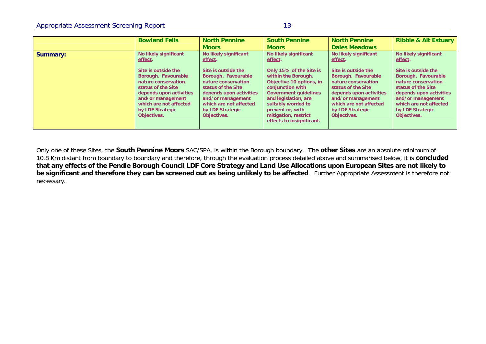|                 | <b>Bowland Fells</b>                                                                                                                                                                                                      | <b>North Pennine</b><br><b>Moors</b>                                                                                                                                                                                      | <b>South Pennine</b><br><b>Moors</b>                                                                                                                                                                                                 | <b>North Pennine</b><br><b>Dales Meadows</b>                                                                                                                                                                              | <b>Ribble &amp; Alt Estuary</b>                                                                                                                                                                                           |
|-----------------|---------------------------------------------------------------------------------------------------------------------------------------------------------------------------------------------------------------------------|---------------------------------------------------------------------------------------------------------------------------------------------------------------------------------------------------------------------------|--------------------------------------------------------------------------------------------------------------------------------------------------------------------------------------------------------------------------------------|---------------------------------------------------------------------------------------------------------------------------------------------------------------------------------------------------------------------------|---------------------------------------------------------------------------------------------------------------------------------------------------------------------------------------------------------------------------|
| <b>Summary:</b> | No likely significant<br>effect.<br>Site is outside the<br>Borough. Favourable<br>nature conservation<br>status of the Site<br>depends upon activities<br>and/or management<br>which are not affected<br>by LDF Strategic | No likely significant<br>effect.<br>Site is outside the<br>Borough. Favourable<br>nature conservation<br>status of the Site<br>depends upon activities<br>and/or management<br>which are not affected<br>by LDF Strategic | No likely significant<br>effect.<br>Only 15% of the Site is<br>within the Borough.<br>Objective 10 options, in<br>conjunction with<br><b>Government quidelines</b><br>and legislation, are<br>suitably worded to<br>prevent or, with | No likely significant<br>effect.<br>Site is outside the<br>Borough. Favourable<br>nature conservation<br>status of the Site<br>depends upon activities<br>and/or management<br>which are not affected<br>by LDF Strategic | No likely significant<br>effect.<br>Site is outside the<br>Borough. Favourable<br>nature conservation<br>status of the Site<br>depends upon activities<br>and/or management<br>which are not affected<br>by LDF Strategic |
|                 | Objectives.                                                                                                                                                                                                               | Objectives.                                                                                                                                                                                                               | mitigation, restrict<br>effects to insignificant.                                                                                                                                                                                    | Objectives.                                                                                                                                                                                                               | Objectives.                                                                                                                                                                                                               |

Only one of these Sites, the **South Pennine Moors** SAC/SPA, is within the Borough boundary. The **other Sites** are an absolute minimum of 10.8 Km distant from boundary to boundary and therefore, through the evaluation process detailed above and summarised below, it is **concluded that any effects of the Pendle Borough Council LDF Core Strategy and Land Use Allocations upon European Sites are not likely to be significant and therefore they can be screened out as being unlikely to be affected**. Further Appropriate Assessment is therefore not necessary.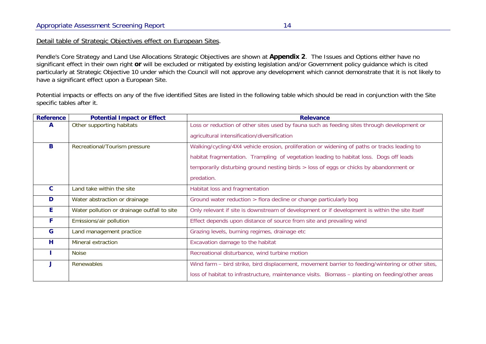### Detail table of Strategic Objectives effect on European Sites.

Pendle's Core Strategy and Land Use Allocations Strategic Objectives are shown at **Appendix 2**. The Issues and Options either have no significant effect in their own right **or** will be excluded or mitigated by existing legislation and/or Government policy guidance which is cited particularly at Strategic Objective 10 under which the Council will not approve any development which cannot demonstrate that it is not likely to have a significant effect upon a European Site.

Potential impacts or effects on any of the five identified Sites are listed in the following table which should be read in conjunction with the Site specific tables after it.

| <b>Reference</b> | <b>Potential Impact or Effect</b>           | <b>Relevance</b>                                                                                  |
|------------------|---------------------------------------------|---------------------------------------------------------------------------------------------------|
| A                | Other supporting habitats                   | Loss or reduction of other sites used by fauna such as feeding sites through development or       |
|                  |                                             | agricultural intensification/diversification                                                      |
| B                | Recreational/Tourism pressure               | Walking/cycling/4X4 vehicle erosion, proliferation or widening of paths or tracks leading to      |
|                  |                                             | habitat fragmentation. Trampling of vegetation leading to habitat loss. Dogs off leads            |
|                  |                                             | temporarily disturbing ground nesting birds > loss of eggs or chicks by abandonment or            |
|                  |                                             | predation.                                                                                        |
| $\mathbf{C}$     | Land take within the site                   | Habitat loss and fragmentation                                                                    |
| D                | Water abstraction or drainage               | Ground water reduction > flora decline or change particularly bog                                 |
| E.               | Water pollution or drainage outfall to site | Only relevant if site is downstream of development or if development is within the site itself    |
| F                | Emissions/air pollution                     | Effect depends upon distance of source from site and prevailing wind                              |
| G                | Land management practice                    | Grazing levels, burning regimes, drainage etc                                                     |
| H                | Mineral extraction                          | Excavation damage to the habitat                                                                  |
|                  | <b>Noise</b>                                | Recreational disturbance, wind turbine motion                                                     |
|                  | Renewables                                  | Wind farm - bird strike, bird displacement, movement barrier to feeding/wintering or other sites, |
|                  |                                             | loss of habitat to infrastructure, maintenance visits. Biomass - planting on feeding/other areas  |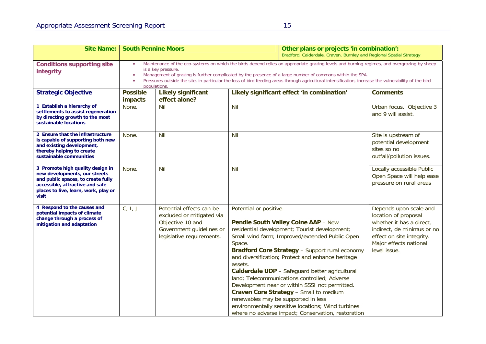| <b>Site Name:</b>                                                                                                                                                                           | <b>South Pennine Moors</b>                                                                                                                                                                                                                                                                                                                                                                                                                                           |                                                                                                                                    |                                             | Other plans or projects 'in combination':<br>Bradford, Calderdale, Craven, Burnley and Regional Spatial Strategy                                                                                                                                                                                                                                                                                                                                                                                                                                                                                      |                                                                                                                                                                                 |  |
|---------------------------------------------------------------------------------------------------------------------------------------------------------------------------------------------|----------------------------------------------------------------------------------------------------------------------------------------------------------------------------------------------------------------------------------------------------------------------------------------------------------------------------------------------------------------------------------------------------------------------------------------------------------------------|------------------------------------------------------------------------------------------------------------------------------------|---------------------------------------------|-------------------------------------------------------------------------------------------------------------------------------------------------------------------------------------------------------------------------------------------------------------------------------------------------------------------------------------------------------------------------------------------------------------------------------------------------------------------------------------------------------------------------------------------------------------------------------------------------------|---------------------------------------------------------------------------------------------------------------------------------------------------------------------------------|--|
| <b>Conditions supporting site</b><br>integrity                                                                                                                                              | Maintenance of the eco-systems on which the birds depend relies on appropriate grazing levels and burning regimes, and overgrazing by sheep<br>$\bullet$<br>is a key pressure.<br>Management of grazing is further complicated by the presence of a large number of commons within the SPA.<br>Pressures outside the site, in particular the loss of bird feeding areas through agricultural intensification, increase the vulnerability of the bird<br>populations. |                                                                                                                                    |                                             |                                                                                                                                                                                                                                                                                                                                                                                                                                                                                                                                                                                                       |                                                                                                                                                                                 |  |
| <b>Strategic Objective</b>                                                                                                                                                                  | <b>Possible</b><br>impacts                                                                                                                                                                                                                                                                                                                                                                                                                                           | <b>Likely significant</b><br>effect alone?                                                                                         |                                             | Likely significant effect 'in combination'                                                                                                                                                                                                                                                                                                                                                                                                                                                                                                                                                            | <b>Comments</b>                                                                                                                                                                 |  |
| 1 Establish a hierarchy of<br>settlements to assist regeneration<br>by directing growth to the most<br>sustainable locations                                                                | None.                                                                                                                                                                                                                                                                                                                                                                                                                                                                | Nil                                                                                                                                | Nil                                         |                                                                                                                                                                                                                                                                                                                                                                                                                                                                                                                                                                                                       | Urban focus. Objective 3<br>and 9 will assist.                                                                                                                                  |  |
| 2 Ensure that the infrastructure<br>is capable of supporting both new<br>and existing development,<br>thereby helping to create<br>sustainable communities                                  | None.                                                                                                                                                                                                                                                                                                                                                                                                                                                                | Nil                                                                                                                                | Nil                                         |                                                                                                                                                                                                                                                                                                                                                                                                                                                                                                                                                                                                       | Site is upstream of<br>potential development<br>sites so no<br>outfall/pollution issues.                                                                                        |  |
| 3 Promote high quality design in<br>new developments, our streets<br>and public spaces, to create fully<br>accessible, attractive and safe<br>places to live, learn, work, play or<br>visit | None.                                                                                                                                                                                                                                                                                                                                                                                                                                                                | Nil                                                                                                                                | Nil                                         |                                                                                                                                                                                                                                                                                                                                                                                                                                                                                                                                                                                                       | Locally accessible Public<br>Open Space will help ease<br>pressure on rural areas                                                                                               |  |
| 4 Respond to the causes and<br>potential impacts of climate<br>change through a process of<br>mitigation and adaptation                                                                     | C, I, J                                                                                                                                                                                                                                                                                                                                                                                                                                                              | Potential effects can be<br>excluded or mitigated via<br>Objective 10 and<br>Government guidelines or<br>legislative requirements. | Potential or positive.<br>Space.<br>assets. | Pendle South Valley Colne AAP - New<br>residential development; Tourist development;<br>Small wind farm; Improved/extended Public Open<br><b>Bradford Core Strategy - Support rural economy</b><br>and diversification; Protect and enhance heritage<br>Calderdale UDP - Safeguard better agricultural<br>land; Telecommunications controlled; Adverse<br>Development near or within SSSI not permitted.<br>Craven Core Strategy - Small to medium<br>renewables may be supported in less<br>environmentally sensitive locations; Wind turbines<br>where no adverse impact; Conservation, restoration | Depends upon scale and<br>location of proposal<br>whether it has a direct,<br>indirect, de minimus or no<br>effect on site integrity.<br>Major effects national<br>level issue. |  |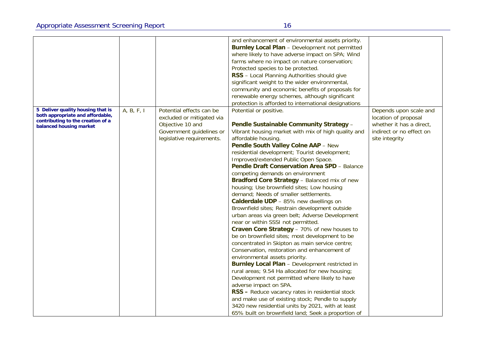| 5 Deliver quality housing that is<br>both appropriate and affordable, | A, B, F, I | Potential effects can be<br>excluded or mitigated via | and enhancement of environmental assets priority.<br><b>Burnley Local Plan - Development not permitted</b><br>where likely to have adverse impact on SPA; Wind<br>farms where no impact on nature conservation;<br>Protected species to be protected.<br>RSS - Local Planning Authorities should give<br>significant weight to the wider environmental,<br>community and economic benefits of proposals for<br>renewable energy schemes, although significant<br>protection is afforded to international designations<br>Potential or positive. | Depends upon scale and<br>location of proposal |
|-----------------------------------------------------------------------|------------|-------------------------------------------------------|-------------------------------------------------------------------------------------------------------------------------------------------------------------------------------------------------------------------------------------------------------------------------------------------------------------------------------------------------------------------------------------------------------------------------------------------------------------------------------------------------------------------------------------------------|------------------------------------------------|
| contributing to the creation of a<br>balanced housing market          |            | Objective 10 and                                      | Pendle Sustainable Community Strategy -                                                                                                                                                                                                                                                                                                                                                                                                                                                                                                         | whether it has a direct,                       |
|                                                                       |            | Government guidelines or                              | Vibrant housing market with mix of high quality and                                                                                                                                                                                                                                                                                                                                                                                                                                                                                             | indirect or no effect on                       |
|                                                                       |            | legislative requirements.                             | affordable housing.                                                                                                                                                                                                                                                                                                                                                                                                                                                                                                                             | site integrity                                 |
|                                                                       |            |                                                       | Pendle South Valley Colne AAP - New                                                                                                                                                                                                                                                                                                                                                                                                                                                                                                             |                                                |
|                                                                       |            |                                                       | residential development; Tourist development;<br>Improved/extended Public Open Space.                                                                                                                                                                                                                                                                                                                                                                                                                                                           |                                                |
|                                                                       |            |                                                       | Pendle Draft Conservation Area SPD - Balance                                                                                                                                                                                                                                                                                                                                                                                                                                                                                                    |                                                |
|                                                                       |            |                                                       | competing demands on environment                                                                                                                                                                                                                                                                                                                                                                                                                                                                                                                |                                                |
|                                                                       |            |                                                       | Bradford Core Strategy - Balanced mix of new                                                                                                                                                                                                                                                                                                                                                                                                                                                                                                    |                                                |
|                                                                       |            |                                                       | housing; Use brownfield sites; Low housing                                                                                                                                                                                                                                                                                                                                                                                                                                                                                                      |                                                |
|                                                                       |            |                                                       | demand; Needs of smaller settlements.                                                                                                                                                                                                                                                                                                                                                                                                                                                                                                           |                                                |
|                                                                       |            |                                                       | Calderdale UDP - 85% new dwellings on                                                                                                                                                                                                                                                                                                                                                                                                                                                                                                           |                                                |
|                                                                       |            |                                                       | Brownfield sites; Restrain development outside                                                                                                                                                                                                                                                                                                                                                                                                                                                                                                  |                                                |
|                                                                       |            |                                                       | urban areas via green belt; Adverse Development<br>near or within SSSI not permitted.                                                                                                                                                                                                                                                                                                                                                                                                                                                           |                                                |
|                                                                       |            |                                                       | Craven Core Strategy - 70% of new houses to                                                                                                                                                                                                                                                                                                                                                                                                                                                                                                     |                                                |
|                                                                       |            |                                                       | be on brownfield sites; most development to be                                                                                                                                                                                                                                                                                                                                                                                                                                                                                                  |                                                |
|                                                                       |            |                                                       | concentrated in Skipton as main service centre;                                                                                                                                                                                                                                                                                                                                                                                                                                                                                                 |                                                |
|                                                                       |            |                                                       | Conservation, restoration and enhancement of                                                                                                                                                                                                                                                                                                                                                                                                                                                                                                    |                                                |
|                                                                       |            |                                                       | environmental assets priority.                                                                                                                                                                                                                                                                                                                                                                                                                                                                                                                  |                                                |
|                                                                       |            |                                                       | Burnley Local Plan - Development restricted in                                                                                                                                                                                                                                                                                                                                                                                                                                                                                                  |                                                |
|                                                                       |            |                                                       | rural areas; 9.54 Ha allocated for new housing;                                                                                                                                                                                                                                                                                                                                                                                                                                                                                                 |                                                |
|                                                                       |            |                                                       | Development not permitted where likely to have<br>adverse impact on SPA.                                                                                                                                                                                                                                                                                                                                                                                                                                                                        |                                                |
|                                                                       |            |                                                       | RSS - Reduce vacancy rates in residential stock                                                                                                                                                                                                                                                                                                                                                                                                                                                                                                 |                                                |
|                                                                       |            |                                                       | and make use of existing stock; Pendle to supply                                                                                                                                                                                                                                                                                                                                                                                                                                                                                                |                                                |
|                                                                       |            |                                                       | 3420 new residential units by 2021, with at least                                                                                                                                                                                                                                                                                                                                                                                                                                                                                               |                                                |
|                                                                       |            |                                                       | 65% built on brownfield land; Seek a proportion of                                                                                                                                                                                                                                                                                                                                                                                                                                                                                              |                                                |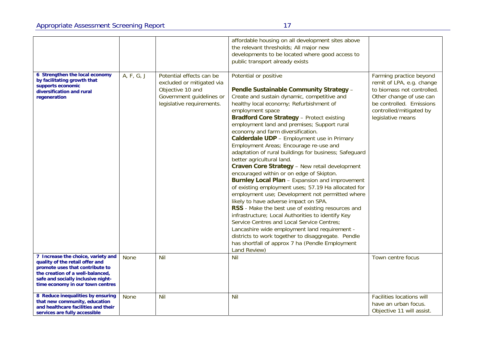| 6 Strengthen the local economy<br>by facilitating growth that<br>supports economic<br>diversification and rural<br>regeneration                                                                                        | A, F, G, J  | Potential effects can be<br>excluded or mitigated via<br>Objective 10 and<br>Government guidelines or<br>legislative requirements. | affordable housing on all development sites above<br>the relevant thresholds; All major new<br>developments to be located where good access to<br>public transport already exists<br>Potential or positive<br>Pendle Sustainable Community Strategy -<br>Create and sustain dynamic, competitive and<br>healthy local economy; Refurbishment of<br>employment space<br><b>Bradford Core Strategy - Protect existing</b><br>employment land and premises; Support rural<br>economy and farm diversification.<br>Calderdale UDP - Employment use in Primary<br>Employment Areas; Encourage re-use and<br>adaptation of rural buildings for business; Safeguard<br>better agricultural land.<br>Craven Core Strategy - New retail development<br>encouraged within or on edge of Skipton.<br><b>Burnley Local Plan - Expansion and improvement</b><br>of existing employment uses; 57.19 Ha allocated for<br>employment use; Development not permitted where<br>likely to have adverse impact on SPA.<br>RSS - Make the best use of existing resources and<br>infrastructure; Local Authorities to identify Key<br>Service Centres and Local Service Centres;<br>Lancashire wide employment land requirement -<br>districts to work together to disaggregate. Pendle<br>has shortfall of approx 7 ha (Pendle Employment | Farming practice beyond<br>remit of LPA, e.g. change<br>to biomass not controlled.<br>Other change of use can<br>be controlled. Emissions<br>controlled/mitigated by<br>legislative means |
|------------------------------------------------------------------------------------------------------------------------------------------------------------------------------------------------------------------------|-------------|------------------------------------------------------------------------------------------------------------------------------------|----------------------------------------------------------------------------------------------------------------------------------------------------------------------------------------------------------------------------------------------------------------------------------------------------------------------------------------------------------------------------------------------------------------------------------------------------------------------------------------------------------------------------------------------------------------------------------------------------------------------------------------------------------------------------------------------------------------------------------------------------------------------------------------------------------------------------------------------------------------------------------------------------------------------------------------------------------------------------------------------------------------------------------------------------------------------------------------------------------------------------------------------------------------------------------------------------------------------------------------------------------------------------------------------------------------------|-------------------------------------------------------------------------------------------------------------------------------------------------------------------------------------------|
|                                                                                                                                                                                                                        |             |                                                                                                                                    | Land Review)                                                                                                                                                                                                                                                                                                                                                                                                                                                                                                                                                                                                                                                                                                                                                                                                                                                                                                                                                                                                                                                                                                                                                                                                                                                                                                         |                                                                                                                                                                                           |
| 7 Increase the choice, variety and<br>quality of the retail offer and<br>promote uses that contribute to<br>the creation of a well-balanced,<br>safe and socially inclusive night-<br>time economy in our town centres | <b>None</b> | <b>Nil</b>                                                                                                                         | Nil                                                                                                                                                                                                                                                                                                                                                                                                                                                                                                                                                                                                                                                                                                                                                                                                                                                                                                                                                                                                                                                                                                                                                                                                                                                                                                                  | Town centre focus                                                                                                                                                                         |
| 8 Reduce inequalities by ensuring<br>that new community, education<br>and healthcare facilities and their<br>services are fully accessible                                                                             | <b>None</b> | <b>Nil</b>                                                                                                                         | <b>Nil</b>                                                                                                                                                                                                                                                                                                                                                                                                                                                                                                                                                                                                                                                                                                                                                                                                                                                                                                                                                                                                                                                                                                                                                                                                                                                                                                           | <b>Facilities locations will</b><br>have an urban focus.<br>Objective 11 will assist.                                                                                                     |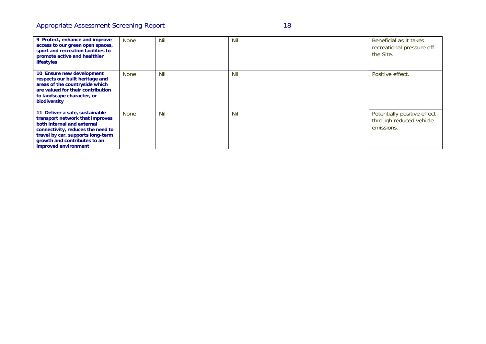| 9 Protect, enhance and improve<br>access to our green open spaces,<br>sport and recreation facilities to<br>promote active and healthier                                                                                          | <b>None</b> | <b>Nil</b> | Nil        | Beneficial as it takes<br>recreational pressure off<br>the Site.     |
|-----------------------------------------------------------------------------------------------------------------------------------------------------------------------------------------------------------------------------------|-------------|------------|------------|----------------------------------------------------------------------|
| lifestyles<br>10 Ensure new development<br>respects our built heritage and<br>areas of the countryside which<br>are valued for their contribution<br>to landscape character, or<br>biodiversity                                   | None        | Nil        | <b>Nil</b> | Positive effect.                                                     |
| 11 Deliver a safe, sustainable<br>transport network that improves<br>both internal and external<br>connectivity, reduces the need to<br>travel by car, supports long-term<br>growth and contributes to an<br>improved environment | None        | Nil        | Nil        | Potentially positive effect<br>through reduced vehicle<br>emissions. |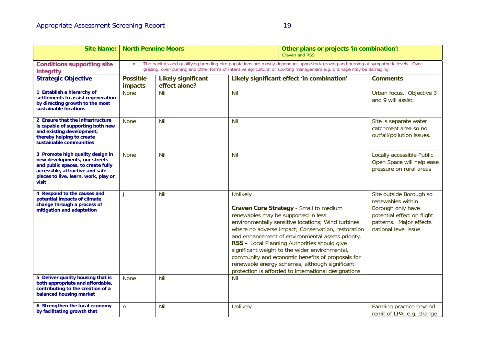$\blacksquare$ 

| <b>Site Name:</b>                                                                                                                                                                           | <b>North Pennine Moors</b> |                                            |                 | Other plans or projects 'in combination':<br><b>Craven and RSS</b>                                                                                                                                                                                                                                                                                                                                                                                                                                             |                                                                                                                                                     |
|---------------------------------------------------------------------------------------------------------------------------------------------------------------------------------------------|----------------------------|--------------------------------------------|-----------------|----------------------------------------------------------------------------------------------------------------------------------------------------------------------------------------------------------------------------------------------------------------------------------------------------------------------------------------------------------------------------------------------------------------------------------------------------------------------------------------------------------------|-----------------------------------------------------------------------------------------------------------------------------------------------------|
| <b>Conditions supporting site</b><br>integrity                                                                                                                                              | $\bullet$                  |                                            |                 | The habitats and qualifying breeding bird populations are mostly dependant upon stock grazing and burning at sympathetic levels. Over-<br>grazing, over-burning and other forms of intensive agricultural or sporting management e.g. drainage may be damaging.                                                                                                                                                                                                                                                |                                                                                                                                                     |
| <b>Strategic Objective</b>                                                                                                                                                                  | <b>Possible</b><br>impacts | <b>Likely significant</b><br>effect alone? |                 | Likely significant effect 'in combination'                                                                                                                                                                                                                                                                                                                                                                                                                                                                     | <b>Comments</b>                                                                                                                                     |
| 1 Establish a hierarchy of<br>settlements to assist regeneration<br>by directing growth to the most<br>sustainable locations                                                                | <b>None</b>                | Nil                                        | Nil             |                                                                                                                                                                                                                                                                                                                                                                                                                                                                                                                | Urban focus. Objective 3<br>and 9 will assist.                                                                                                      |
| 2 Ensure that the infrastructure<br>is capable of supporting both new<br>and existing development,<br>thereby helping to create<br>sustainable communities                                  | <b>None</b>                | Nil                                        | <b>Nil</b>      |                                                                                                                                                                                                                                                                                                                                                                                                                                                                                                                | Site is separate water<br>catchment area so no<br>outfall/pollution issues.                                                                         |
| 3 Promote high quality design in<br>new developments, our streets<br>and public spaces, to create fully<br>accessible, attractive and safe<br>places to live, learn, work, play or<br>visit | <b>None</b>                | <b>Nil</b>                                 | Nil             |                                                                                                                                                                                                                                                                                                                                                                                                                                                                                                                | Locally accessible Public<br>Open Space will help ease<br>pressure on rural areas                                                                   |
| 4 Respond to the causes and<br>potential impacts of climate<br>change through a process of<br>mitigation and adaptation                                                                     | $\mathbf{I}$               | Nil                                        | <b>Unlikely</b> | Craven Core Strategy - Small to medium<br>renewables may be supported in less<br>environmentally sensitive locations; Wind turbines<br>where no adverse impact; Conservation, restoration<br>and enhancement of environmental assets priority.<br>RSS - Local Planning Authorities should give<br>significant weight to the wider environmental,<br>community and economic benefits of proposals for<br>renewable energy schemes, although significant<br>protection is afforded to international designations | Site outside Borough so<br>renewables within<br>Borough only have<br>potential effect on flight<br>patterns. Major effects<br>national level issue. |
| 5 Deliver quality housing that is<br>both appropriate and affordable,<br>contributing to the creation of a<br>balanced housing market                                                       | None                       | <b>Nil</b>                                 | <b>Nil</b>      |                                                                                                                                                                                                                                                                                                                                                                                                                                                                                                                |                                                                                                                                                     |
| 6 Strengthen the local economy<br>by facilitating growth that                                                                                                                               | A                          | Nil                                        | Unlikely        |                                                                                                                                                                                                                                                                                                                                                                                                                                                                                                                | Farming practice beyond<br>remit of LPA, e.g. change                                                                                                |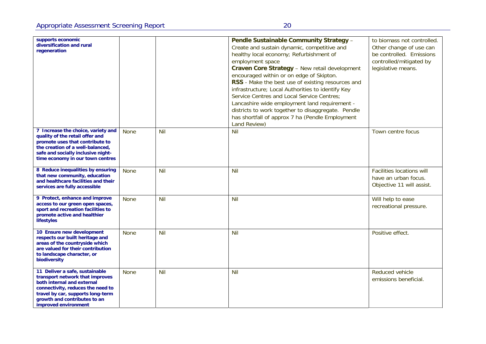| supports economic<br>diversification and rural<br>regeneration                                                                                                                                                                    |             |            | Pendle Sustainable Community Strategy -<br>Create and sustain dynamic, competitive and<br>healthy local economy; Refurbishment of<br>employment space<br>Craven Core Strategy - New retail development<br>encouraged within or on edge of Skipton.<br>RSS - Make the best use of existing resources and<br>infrastructure; Local Authorities to identify Key<br>Service Centres and Local Service Centres;<br>Lancashire wide employment land requirement -<br>districts to work together to disaggregate. Pendle<br>has shortfall of approx 7 ha (Pendle Employment<br>Land Review) | to biomass not controlled.<br>Other change of use can<br>be controlled. Emissions<br>controlled/mitigated by<br>legislative means. |
|-----------------------------------------------------------------------------------------------------------------------------------------------------------------------------------------------------------------------------------|-------------|------------|--------------------------------------------------------------------------------------------------------------------------------------------------------------------------------------------------------------------------------------------------------------------------------------------------------------------------------------------------------------------------------------------------------------------------------------------------------------------------------------------------------------------------------------------------------------------------------------|------------------------------------------------------------------------------------------------------------------------------------|
| 7 Increase the choice, variety and<br>quality of the retail offer and<br>promote uses that contribute to<br>the creation of a well-balanced,<br>safe and socially inclusive night-<br>time economy in our town centres            | <b>None</b> | Nil        | Nil                                                                                                                                                                                                                                                                                                                                                                                                                                                                                                                                                                                  | Town centre focus                                                                                                                  |
| 8 Reduce inequalities by ensuring<br>that new community, education<br>and healthcare facilities and their<br>services are fully accessible                                                                                        | <b>None</b> | <b>Nil</b> | Nil                                                                                                                                                                                                                                                                                                                                                                                                                                                                                                                                                                                  | <b>Facilities locations will</b><br>have an urban focus.<br>Objective 11 will assist.                                              |
| 9 Protect, enhance and improve<br>access to our green open spaces,<br>sport and recreation facilities to<br>promote active and healthier<br>lifestyles                                                                            | <b>None</b> | <b>Nil</b> | Nil                                                                                                                                                                                                                                                                                                                                                                                                                                                                                                                                                                                  | Will help to ease<br>recreational pressure.                                                                                        |
| 10 Ensure new development<br>respects our built heritage and<br>areas of the countryside which<br>are valued for their contribution<br>to landscape character, or<br>biodiversity                                                 | <b>None</b> | <b>Nil</b> | <b>Nil</b>                                                                                                                                                                                                                                                                                                                                                                                                                                                                                                                                                                           | Positive effect.                                                                                                                   |
| 11 Deliver a safe, sustainable<br>transport network that improves<br>both internal and external<br>connectivity, reduces the need to<br>travel by car, supports long-term<br>growth and contributes to an<br>improved environment | None        | <b>Nil</b> | Nil                                                                                                                                                                                                                                                                                                                                                                                                                                                                                                                                                                                  | Reduced vehicle<br>emissions beneficial.                                                                                           |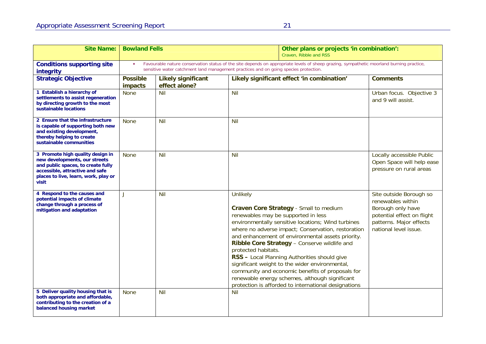| <b>Site Name:</b>                                                                                                                                                                           | <b>Bowland Fells</b>       |                                                                                                                                                                                                                                  |                                 | Other plans or projects 'in combination':<br>Craven, Ribble and RSS                                                                                                                                                                                                                                                                                                                                                                                                                                                                                            |                                                                                                                                                     |  |
|---------------------------------------------------------------------------------------------------------------------------------------------------------------------------------------------|----------------------------|----------------------------------------------------------------------------------------------------------------------------------------------------------------------------------------------------------------------------------|---------------------------------|----------------------------------------------------------------------------------------------------------------------------------------------------------------------------------------------------------------------------------------------------------------------------------------------------------------------------------------------------------------------------------------------------------------------------------------------------------------------------------------------------------------------------------------------------------------|-----------------------------------------------------------------------------------------------------------------------------------------------------|--|
| <b>Conditions supporting site</b><br>integrity                                                                                                                                              | $\bullet$                  | Favourable nature conservation status of the site depends on appropriate levels of sheep grazing, sympathetic moorland burning practice,<br>sensitive water catchment land management practices and on going species protection. |                                 |                                                                                                                                                                                                                                                                                                                                                                                                                                                                                                                                                                |                                                                                                                                                     |  |
| <b>Strategic Objective</b>                                                                                                                                                                  | <b>Possible</b><br>impacts | <b>Likely significant</b><br>effect alone?                                                                                                                                                                                       |                                 | Likely significant effect 'in combination'                                                                                                                                                                                                                                                                                                                                                                                                                                                                                                                     | <b>Comments</b>                                                                                                                                     |  |
| 1 Establish a hierarchy of<br>settlements to assist regeneration<br>by directing growth to the most<br>sustainable locations                                                                | <b>None</b>                | Nil                                                                                                                                                                                                                              | Nil                             |                                                                                                                                                                                                                                                                                                                                                                                                                                                                                                                                                                | Urban focus. Objective 3<br>and 9 will assist.                                                                                                      |  |
| 2 Ensure that the infrastructure<br>is capable of supporting both new<br>and existing development,<br>thereby helping to create<br>sustainable communities                                  | <b>None</b>                | <b>Nil</b>                                                                                                                                                                                                                       | Nil                             |                                                                                                                                                                                                                                                                                                                                                                                                                                                                                                                                                                |                                                                                                                                                     |  |
| 3 Promote high quality design in<br>new developments, our streets<br>and public spaces, to create fully<br>accessible, attractive and safe<br>places to live, learn, work, play or<br>visit | <b>None</b>                | Nil                                                                                                                                                                                                                              | <b>Nil</b>                      |                                                                                                                                                                                                                                                                                                                                                                                                                                                                                                                                                                | Locally accessible Public<br>Open Space will help ease<br>pressure on rural areas                                                                   |  |
| 4 Respond to the causes and<br>potential impacts of climate<br>change through a process of<br>mitigation and adaptation                                                                     | $\mathbf{I}$               | Nil                                                                                                                                                                                                                              | Unlikely<br>protected habitats. | Craven Core Strategy - Small to medium<br>renewables may be supported in less<br>environmentally sensitive locations; Wind turbines<br>where no adverse impact; Conservation, restoration<br>and enhancement of environmental assets priority.<br>Ribble Core Strategy - Conserve wildlife and<br>RSS - Local Planning Authorities should give<br>significant weight to the wider environmental,<br>community and economic benefits of proposals for<br>renewable energy schemes, although significant<br>protection is afforded to international designations | Site outside Borough so<br>renewables within<br>Borough only have<br>potential effect on flight<br>patterns. Major effects<br>national level issue. |  |
| 5 Deliver quality housing that is<br>both appropriate and affordable,<br>contributing to the creation of a<br>balanced housing market                                                       | <b>None</b>                | Nil                                                                                                                                                                                                                              | Nil                             |                                                                                                                                                                                                                                                                                                                                                                                                                                                                                                                                                                |                                                                                                                                                     |  |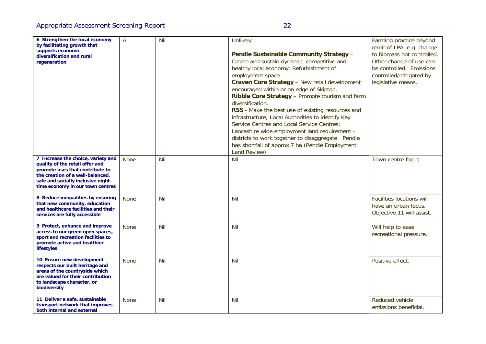| 6 Strengthen the local economy<br>by facilitating growth that<br>supports economic<br>diversification and rural<br>regeneration                                                                                        | A           | <b>Nil</b> | Unlikely<br>Pendle Sustainable Community Strategy -<br>Create and sustain dynamic, competitive and<br>healthy local economy; Refurbishment of<br>employment space<br>Craven Core Strategy - New retail development<br>encouraged within or on edge of Skipton.<br>Ribble Core Strategy - Promote tourism and farm<br>diversification.<br>RSS - Make the best use of existing resources and<br>infrastructure; Local Authorities to identify Key<br>Service Centres and Local Service Centres;<br>Lancashire wide employment land requirement -<br>districts to work together to disaggregate. Pendle<br>has shortfall of approx 7 ha (Pendle Employment<br>Land Review) | Farming practice beyond<br>remit of LPA, e.g. change<br>to biomass not controlled.<br>Other change of use can<br>be controlled. Emissions<br>controlled/mitigated by<br>legislative means. |
|------------------------------------------------------------------------------------------------------------------------------------------------------------------------------------------------------------------------|-------------|------------|-------------------------------------------------------------------------------------------------------------------------------------------------------------------------------------------------------------------------------------------------------------------------------------------------------------------------------------------------------------------------------------------------------------------------------------------------------------------------------------------------------------------------------------------------------------------------------------------------------------------------------------------------------------------------|--------------------------------------------------------------------------------------------------------------------------------------------------------------------------------------------|
| 7 Increase the choice, variety and<br>quality of the retail offer and<br>promote uses that contribute to<br>the creation of a well-balanced,<br>safe and socially inclusive night-<br>time economy in our town centres | <b>None</b> | <b>Nil</b> | Nil                                                                                                                                                                                                                                                                                                                                                                                                                                                                                                                                                                                                                                                                     | Town centre focus                                                                                                                                                                          |
| 8 Reduce inequalities by ensuring<br>that new community, education<br>and healthcare facilities and their<br>services are fully accessible                                                                             | <b>None</b> | Nil        | Nil                                                                                                                                                                                                                                                                                                                                                                                                                                                                                                                                                                                                                                                                     | <b>Facilities locations will</b><br>have an urban focus.<br>Objective 11 will assist.                                                                                                      |
| 9 Protect, enhance and improve<br>access to our green open spaces,<br>sport and recreation facilities to<br>promote active and healthier<br>lifestyles                                                                 | <b>None</b> | <b>Nil</b> | Nil                                                                                                                                                                                                                                                                                                                                                                                                                                                                                                                                                                                                                                                                     | Will help to ease<br>recreational pressure.                                                                                                                                                |
| 10 Ensure new development<br>respects our built heritage and<br>areas of the countryside which<br>are valued for their contribution<br>to landscape character, or<br>biodiversity                                      | <b>None</b> | <b>Nil</b> | Nil                                                                                                                                                                                                                                                                                                                                                                                                                                                                                                                                                                                                                                                                     | Positive effect.                                                                                                                                                                           |
| 11 Deliver a safe, sustainable<br>transport network that improves<br>both internal and external                                                                                                                        | <b>None</b> | <b>Nil</b> | Nil                                                                                                                                                                                                                                                                                                                                                                                                                                                                                                                                                                                                                                                                     | Reduced vehicle<br>emissions beneficial.                                                                                                                                                   |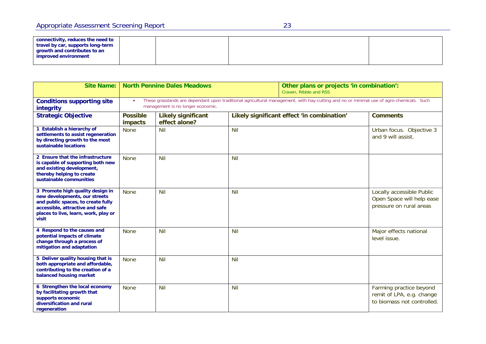| connectivity, reduces the need to<br>travel by car, supports long-term<br>growth and contributes to an<br>improved environment |  |  |
|--------------------------------------------------------------------------------------------------------------------------------|--|--|
|--------------------------------------------------------------------------------------------------------------------------------|--|--|

| <b>Site Name:</b>                                                                                                                                                                           | <b>North Pennine Dales Meadows</b>                                                                                                                                           |                                            |            | Other plans or projects 'in combination':<br>Craven, Ribble and RSS |                                                                                    |
|---------------------------------------------------------------------------------------------------------------------------------------------------------------------------------------------|------------------------------------------------------------------------------------------------------------------------------------------------------------------------------|--------------------------------------------|------------|---------------------------------------------------------------------|------------------------------------------------------------------------------------|
| <b>Conditions supporting site</b><br>integrity                                                                                                                                              | These grasslands are dependant upon traditional agricultural management, with hay-cutting and no or minimal use of agro-chemicals. Such<br>management is no longer economic. |                                            |            |                                                                     |                                                                                    |
| <b>Strategic Objective</b>                                                                                                                                                                  | <b>Possible</b><br>impacts                                                                                                                                                   | <b>Likely significant</b><br>effect alone? |            | Likely significant effect 'in combination'                          | <b>Comments</b>                                                                    |
| 1 Establish a hierarchy of<br>settlements to assist regeneration<br>by directing growth to the most<br>sustainable locations                                                                | <b>None</b>                                                                                                                                                                  | <b>Nil</b>                                 | Nil        |                                                                     | Urban focus. Objective 3<br>and 9 will assist.                                     |
| 2 Ensure that the infrastructure<br>is capable of supporting both new<br>and existing development,<br>thereby helping to create<br>sustainable communities                                  | <b>None</b>                                                                                                                                                                  | Nil                                        | Nil        |                                                                     |                                                                                    |
| 3 Promote high quality design in<br>new developments, our streets<br>and public spaces, to create fully<br>accessible, attractive and safe<br>places to live, learn, work, play or<br>visit | <b>None</b>                                                                                                                                                                  | <b>Nil</b>                                 | <b>Nil</b> |                                                                     | Locally accessible Public<br>Open Space will help ease<br>pressure on rural areas  |
| 4 Respond to the causes and<br>potential impacts of climate<br>change through a process of<br>mitigation and adaptation                                                                     | <b>None</b>                                                                                                                                                                  | Nil                                        | <b>Nil</b> |                                                                     | Major effects national<br>level issue.                                             |
| 5 Deliver quality housing that is<br>both appropriate and affordable,<br>contributing to the creation of a<br>balanced housing market                                                       | <b>None</b>                                                                                                                                                                  | <b>Nil</b>                                 | <b>Nil</b> |                                                                     |                                                                                    |
| 6 Strengthen the local economy<br>by facilitating growth that<br>supports economic<br>diversification and rural<br>regeneration                                                             | <b>None</b>                                                                                                                                                                  | <b>Nil</b>                                 | <b>Nil</b> |                                                                     | Farming practice beyond<br>remit of LPA, e.g. change<br>to biomass not controlled. |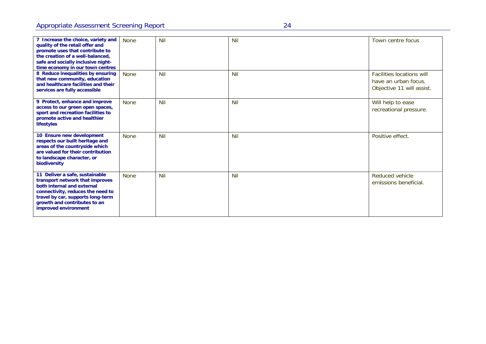| 7 Increase the choice, variety and<br>quality of the retail offer and<br>promote uses that contribute to<br>the creation of a well-balanced.<br>safe and socially inclusive night-<br>time economy in our town centres            | <b>None</b> | <b>Nil</b> | <b>Nil</b> | Town centre focus                                                                     |
|-----------------------------------------------------------------------------------------------------------------------------------------------------------------------------------------------------------------------------------|-------------|------------|------------|---------------------------------------------------------------------------------------|
| 8 Reduce inequalities by ensuring<br>that new community, education<br>and healthcare facilities and their<br>services are fully accessible                                                                                        | <b>None</b> | Nil        | Nil        | <b>Facilities locations will</b><br>have an urban focus.<br>Objective 11 will assist. |
| 9 Protect, enhance and improve<br>access to our green open spaces,<br>sport and recreation facilities to<br>promote active and healthier<br>lifestyles                                                                            | <b>None</b> | <b>Nil</b> | <b>Nil</b> | Will help to ease<br>recreational pressure.                                           |
| 10 Ensure new development<br>respects our built heritage and<br>areas of the countryside which<br>are valued for their contribution<br>to landscape character, or<br>biodiversity                                                 | <b>None</b> | <b>Nil</b> | <b>Nil</b> | Positive effect.                                                                      |
| 11 Deliver a safe, sustainable<br>transport network that improves<br>both internal and external<br>connectivity, reduces the need to<br>travel by car, supports long-term<br>growth and contributes to an<br>improved environment | <b>None</b> | Nil        | <b>Nil</b> | Reduced vehicle<br>emissions beneficial.                                              |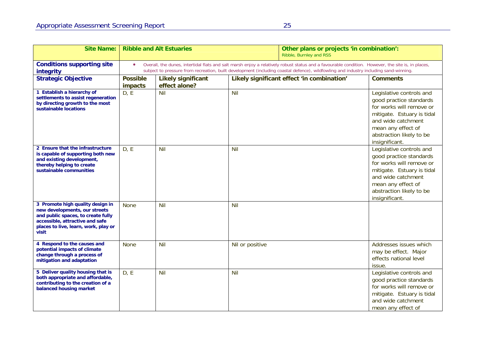| <b>Site Name:</b>                                                                                                                                                                           | <b>Ribble and Alt Estuaries</b>                                                                                                                                                                                                                                                                        |                                            |                 | Other plans or projects 'in combination':<br>Ribble, Burnley and RSS |                                                                                                                                                                                                         |
|---------------------------------------------------------------------------------------------------------------------------------------------------------------------------------------------|--------------------------------------------------------------------------------------------------------------------------------------------------------------------------------------------------------------------------------------------------------------------------------------------------------|--------------------------------------------|-----------------|----------------------------------------------------------------------|---------------------------------------------------------------------------------------------------------------------------------------------------------------------------------------------------------|
| <b>Conditions supporting site</b><br>integrity                                                                                                                                              | Overall, the dunes, intertidal flats and salt marsh enjoy a relatively robust status and a favourable condition. However, the site is, in places,<br>$\bullet$<br>subject to pressure from recreation, built development (including coastal defence), wildfowling and industry including sand-winning. |                                            |                 |                                                                      |                                                                                                                                                                                                         |
| <b>Strategic Objective</b>                                                                                                                                                                  | <b>Possible</b><br>impacts                                                                                                                                                                                                                                                                             | <b>Likely significant</b><br>effect alone? |                 | Likely significant effect 'in combination'                           | <b>Comments</b>                                                                                                                                                                                         |
| 1 Establish a hierarchy of<br>settlements to assist regeneration<br>by directing growth to the most<br>sustainable locations                                                                | D, E                                                                                                                                                                                                                                                                                                   | <b>Nil</b>                                 | Nil             |                                                                      | Legislative controls and<br>good practice standards<br>for works will remove or<br>mitigate. Estuary is tidal<br>and wide catchment<br>mean any effect of<br>abstraction likely to be<br>insignificant. |
| 2 Ensure that the infrastructure<br>is capable of supporting both new<br>and existing development,<br>thereby helping to create<br>sustainable communities                                  | D, E                                                                                                                                                                                                                                                                                                   | <b>Nil</b>                                 | Nil             |                                                                      | Legislative controls and<br>good practice standards<br>for works will remove or<br>mitigate. Estuary is tidal<br>and wide catchment<br>mean any effect of<br>abstraction likely to be<br>insignificant. |
| 3 Promote high quality design in<br>new developments, our streets<br>and public spaces, to create fully<br>accessible, attractive and safe<br>places to live, learn, work, play or<br>visit | <b>None</b>                                                                                                                                                                                                                                                                                            | Nil                                        | Nil             |                                                                      |                                                                                                                                                                                                         |
| 4 Respond to the causes and<br>potential impacts of climate<br>change through a process of<br>mitigation and adaptation                                                                     | <b>None</b>                                                                                                                                                                                                                                                                                            | Nil                                        | Nil or positive |                                                                      | Addresses issues which<br>may be effect. Major<br>effects national level<br>issue.                                                                                                                      |
| 5 Deliver quality housing that is<br>both appropriate and affordable,<br>contributing to the creation of a<br>balanced housing market                                                       | D, E                                                                                                                                                                                                                                                                                                   | Nil                                        | Nil             |                                                                      | Legislative controls and<br>good practice standards<br>for works will remove or<br>mitigate. Estuary is tidal<br>and wide catchment<br>mean any effect of                                               |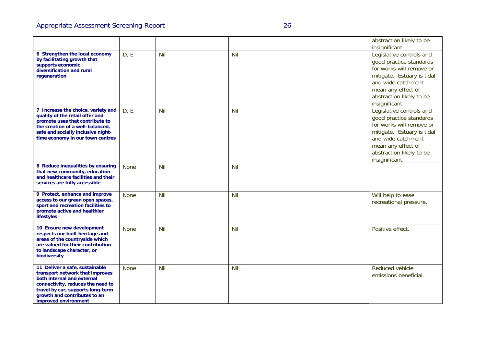|                                                                                                                                                                                                                                   |             |            |            | abstraction likely to be<br>insignificant.                                                                                                                                                              |
|-----------------------------------------------------------------------------------------------------------------------------------------------------------------------------------------------------------------------------------|-------------|------------|------------|---------------------------------------------------------------------------------------------------------------------------------------------------------------------------------------------------------|
| 6 Strengthen the local economy<br>by facilitating growth that<br>supports economic<br>diversification and rural<br>regeneration                                                                                                   | D, E        | Nil        | <b>Nil</b> | Legislative controls and<br>good practice standards<br>for works will remove or<br>mitigate. Estuary is tidal<br>and wide catchment<br>mean any effect of<br>abstraction likely to be<br>insignificant. |
| 7 Increase the choice, variety and<br>quality of the retail offer and<br>promote uses that contribute to<br>the creation of a well-balanced,<br>safe and socially inclusive night-<br>time economy in our town centres            | D, E        | Nil        | Nil        | Legislative controls and<br>good practice standards<br>for works will remove or<br>mitigate. Estuary is tidal<br>and wide catchment<br>mean any effect of<br>abstraction likely to be<br>insignificant. |
| 8 Reduce inequalities by ensuring<br>that new community, education<br>and healthcare facilities and their<br>services are fully accessible                                                                                        | <b>None</b> | <b>Nil</b> | Nil        |                                                                                                                                                                                                         |
| 9 Protect, enhance and improve<br>access to our green open spaces,<br>sport and recreation facilities to<br>promote active and healthier<br>lifestyles                                                                            | <b>None</b> | Nil        | Nil        | Will help to ease<br>recreational pressure.                                                                                                                                                             |
| 10 Ensure new development<br>respects our built heritage and<br>areas of the countryside which<br>are valued for their contribution<br>to landscape character, or<br>biodiversity                                                 | <b>None</b> | <b>Nil</b> | <b>Nil</b> | Positive effect.                                                                                                                                                                                        |
| 11 Deliver a safe, sustainable<br>transport network that improves<br>both internal and external<br>connectivity, reduces the need to<br>travel by car, supports long-term<br>growth and contributes to an<br>improved environment | <b>None</b> | Nil        | Nil        | Reduced vehicle<br>emissions beneficial.                                                                                                                                                                |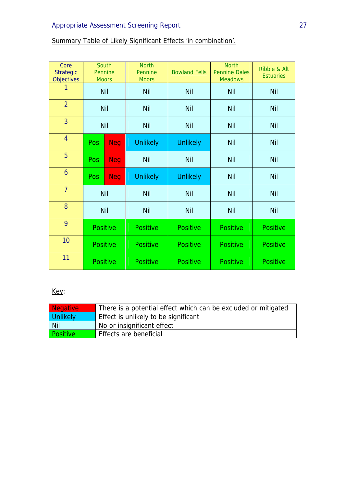| Core<br><b>Strategic</b><br><b>Objectives</b> |                 | South<br>Pennine<br><b>Moors</b> | <b>North</b><br>Pennine<br><b>Moors</b> | <b>Bowland Fells</b> | <b>North</b><br><b>Pennine Dales</b><br><b>Meadows</b> | Ribble & Alt<br><b>Estuaries</b> |
|-----------------------------------------------|-----------------|----------------------------------|-----------------------------------------|----------------------|--------------------------------------------------------|----------------------------------|
|                                               |                 | <b>Nil</b>                       | <b>Nil</b>                              | <b>Nil</b>           | <b>Nil</b>                                             | <b>Nil</b>                       |
| $\overline{2}$                                |                 | <b>Nil</b>                       | <b>Nil</b>                              | <b>Nil</b>           | <b>Nil</b>                                             | <b>Nil</b>                       |
| $\overline{3}$                                | <b>Nil</b>      |                                  | <b>Nil</b>                              | <b>Nil</b>           | <b>Nil</b>                                             | <b>Nil</b>                       |
| $\overline{4}$                                | Pos             | <b>Neg</b>                       | <b>Unlikely</b>                         | <b>Unlikely</b>      | <b>Nil</b>                                             | <b>Nil</b>                       |
| 5                                             | <b>Pos</b>      | <b>Neg</b>                       | <b>Nil</b>                              | <b>Nil</b>           | <b>Nil</b>                                             | <b>Nil</b>                       |
| 6                                             | <b>Pos</b>      | <b>Neg</b>                       | <b>Unlikely</b>                         | <b>Unlikely</b>      | <b>Nil</b>                                             | <b>Nil</b>                       |
| $\overline{7}$                                | <b>Nil</b>      |                                  | <b>Nil</b>                              | <b>Nil</b>           | <b>Nil</b>                                             | Nil                              |
| 8                                             | <b>Nil</b>      |                                  | <b>Nil</b>                              | <b>Nil</b>           | <b>Nil</b>                                             | <b>Nil</b>                       |
| 9                                             | <b>Positive</b> |                                  | <b>Positive</b>                         | <b>Positive</b>      | <b>Positive</b>                                        | <b>Positive</b>                  |
| 10                                            | <b>Positive</b> |                                  | <b>Positive</b>                         | <b>Positive</b>      | <b>Positive</b>                                        | <b>Positive</b>                  |
| 11                                            |                 | <b>Positive</b>                  | <b>Positive</b>                         | <b>Positive</b>      | <b>Positive</b>                                        | <b>Positive</b>                  |

## Summary Table of Likely Significant Effects 'in combination'.

## Key:

| <b>Negative</b> | There is a potential effect which can be excluded or mitigated |
|-----------------|----------------------------------------------------------------|
| <b>Unlikely</b> | Effect is unlikely to be significant                           |
| Nil             | No or insignificant effect                                     |
| <b>Positive</b> | Effects are beneficial                                         |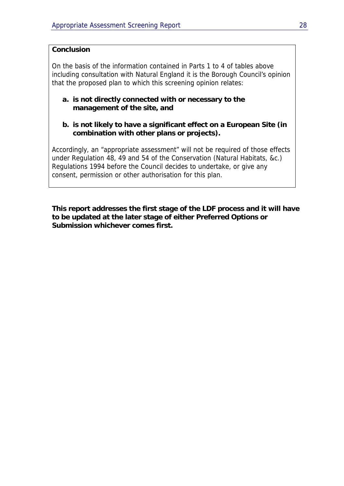### **Conclusion**

On the basis of the information contained in Parts 1 to 4 of tables above including consultation with Natural England it is the Borough Council's opinion that the proposed plan to which this screening opinion relates:

### **a. is not directly connected with or necessary to the management of the site, and**

**b. is not likely to have a significant effect on a European Site (in combination with other plans or projects).** 

Accordingly, an "appropriate assessment" will not be required of those effects under Regulation 48, 49 and 54 of the Conservation (Natural Habitats, &c.) Regulations 1994 before the Council decides to undertake, or give any consent, permission or other authorisation for this plan.

**This report addresses the first stage of the LDF process and it will have to be updated at the later stage of either Preferred Options or Submission whichever comes first.**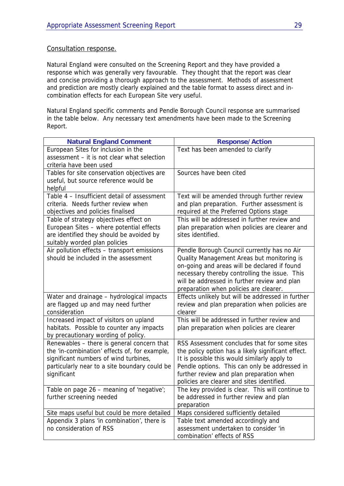### Consultation response.

Natural England were consulted on the Screening Report and they have provided a response which was generally very favourable. They thought that the report was clear and concise providing a thorough approach to the assessment. Methods of assessment and prediction are mostly clearly explained and the table format to assess direct and incombination effects for each European Site very useful.

Natural England specific comments and Pendle Borough Council response are summarised in the table below. Any necessary text amendments have been made to the Screening Report.

| <b>Natural England Comment</b>                                                                                                                                                                       | <b>Response/Action</b>                                                                                                                                                                                                                                                                        |
|------------------------------------------------------------------------------------------------------------------------------------------------------------------------------------------------------|-----------------------------------------------------------------------------------------------------------------------------------------------------------------------------------------------------------------------------------------------------------------------------------------------|
| European Sites for inclusion in the<br>assessment - it is not clear what selection<br>criteria have been used                                                                                        | Text has been amended to clarify                                                                                                                                                                                                                                                              |
| Tables for site conservation objectives are<br>useful, but source reference would be<br>helpful                                                                                                      | Sources have been cited                                                                                                                                                                                                                                                                       |
| Table 4 - Insufficient detail of assessment<br>criteria. Needs further review when<br>objectives and policies finalised                                                                              | Text will be amended through further review<br>and plan preparation. Further assessment is<br>required at the Preferred Options stage                                                                                                                                                         |
| Table of strategy objectives effect on<br>European Sites - where potential effects<br>are identified they should be avoided by<br>suitably worded plan policies                                      | This will be addressed in further review and<br>plan preparation when policies are clearer and<br>sites identified.                                                                                                                                                                           |
| Air pollution effects - transport emissions<br>should be included in the assessment                                                                                                                  | Pendle Borough Council currently has no Air<br>Quality Management Areas but monitoring is<br>on-going and areas will be declared if found<br>necessary thereby controlling the issue. This<br>will be addressed in further review and plan<br>preparation when policies are clearer.          |
| Water and drainage - hydrological impacts<br>are flagged up and may need further<br>consideration                                                                                                    | Effects unlikely but will be addressed in further<br>review and plan preparation when policies are<br>clearer                                                                                                                                                                                 |
| Increased impact of visitors on upland<br>habitats. Possible to counter any impacts<br>by precautionary wording of policy.                                                                           | This will be addressed in further review and<br>plan preparation when policies are clearer                                                                                                                                                                                                    |
| Renewables - there is general concern that<br>the 'in-combination' effects of, for example,<br>significant numbers of wind turbines,<br>particularly near to a site boundary could be<br>significant | RSS Assessment concludes that for some sites<br>the policy option has a likely significant effect.<br>It is possible this would similarly apply to<br>Pendle options. This can only be addressed in<br>further review and plan preparation when<br>policies are clearer and sites identified. |
| Table on page 26 - meaning of 'negative';<br>further screening needed                                                                                                                                | The key provided is clear. This will continue to<br>be addressed in further review and plan<br>preparation                                                                                                                                                                                    |
| Site maps useful but could be more detailed                                                                                                                                                          | Maps considered sufficiently detailed                                                                                                                                                                                                                                                         |
| Appendix 3 plans 'in combination', there is<br>no consideration of RSS                                                                                                                               | Table text amended accordingly and<br>assessment undertaken to consider 'in<br>combination' effects of RSS                                                                                                                                                                                    |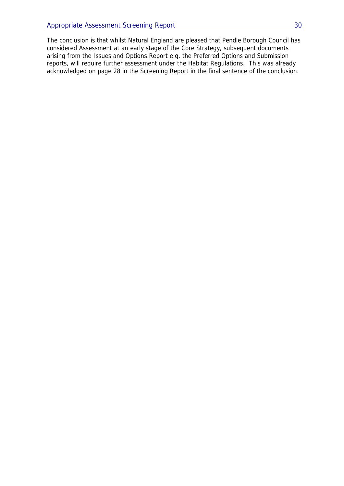The conclusion is that whilst Natural England are pleased that Pendle Borough Council has considered Assessment at an early stage of the Core Strategy, subsequent documents arising from the Issues and Options Report e.g. the Preferred Options and Submission reports, will require further assessment under the Habitat Regulations. This was already acknowledged on page 28 in the Screening Report in the final sentence of the conclusion.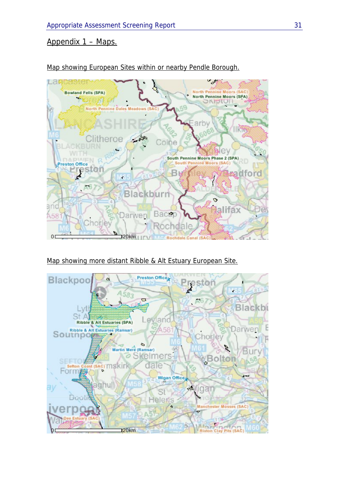### Appendix 1 – Maps.



Map showing European Sites within or nearby Pendle Borough.

Map showing more distant Ribble & Alt Estuary European Site.

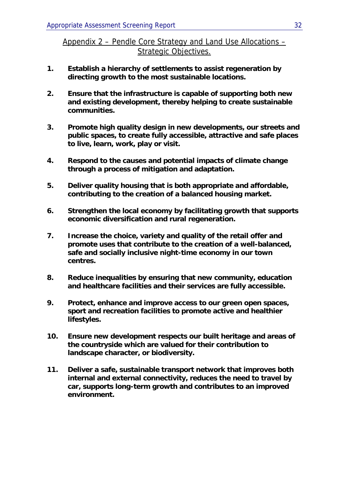Appendix 2 – Pendle Core Strategy and Land Use Allocations – Strategic Objectives.

- **1. Establish a hierarchy of settlements to assist regeneration by directing growth to the most sustainable locations.**
- **2. Ensure that the infrastructure is capable of supporting both new and existing development, thereby helping to create sustainable communities.**
- **3. Promote high quality design in new developments, our streets and public spaces, to create fully accessible, attractive and safe places to live, learn, work, play or visit.**
- **4. Respond to the causes and potential impacts of climate change through a process of mitigation and adaptation.**
- **5. Deliver quality housing that is both appropriate and affordable, contributing to the creation of a balanced housing market.**
- **6. Strengthen the local economy by facilitating growth that supports economic diversification and rural regeneration.**
- **7. Increase the choice, variety and quality of the retail offer and promote uses that contribute to the creation of a well-balanced, safe and socially inclusive night-time economy in our town centres.**
- **8. Reduce inequalities by ensuring that new community, education and healthcare facilities and their services are fully accessible.**
- **9. Protect, enhance and improve access to our green open spaces, sport and recreation facilities to promote active and healthier lifestyles.**
- **10. Ensure new development respects our built heritage and areas of the countryside which are valued for their contribution to landscape character, or biodiversity.**
- **11. Deliver a safe, sustainable transport network that improves both internal and external connectivity, reduces the need to travel by car, supports long-term growth and contributes to an improved environment.**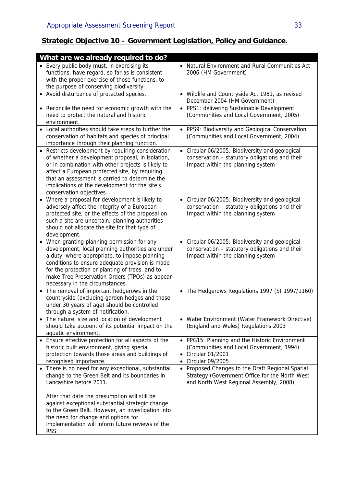## **Strategic Objective 10 – Government Legislation, Policy and Guidance.**

| What are we already required to do?                                                                                                                                                                                                                                                                                                            |                                                                                                                                                   |
|------------------------------------------------------------------------------------------------------------------------------------------------------------------------------------------------------------------------------------------------------------------------------------------------------------------------------------------------|---------------------------------------------------------------------------------------------------------------------------------------------------|
| • Every public body must, in exercising its<br>functions, have regard, so far as is consistent<br>with the proper exercise of those functions, to<br>the purpose of conserving biodiversity.                                                                                                                                                   | • Natural Environment and Rural Communities Act<br>2006 (HM Government)                                                                           |
| Avoid disturbance of protected species.<br>$\bullet$                                                                                                                                                                                                                                                                                           | • Wildlife and Countryside Act 1981, as revised<br>December 2004 (HM Government)                                                                  |
| • Reconcile the need for economic growth with the<br>need to protect the natural and historic<br>environment.                                                                                                                                                                                                                                  | • PPS1: delivering Sustainable Development<br>(Communities and Local Government, 2005)                                                            |
| • Local authorities should take steps to further the<br>conservation of habitats and species of principal<br>importance through their planning function.                                                                                                                                                                                       | • PPS9: Biodiversity and Geological Conservation<br>(Communities and Local Government, 2004)                                                      |
| • Restricts development by requiring consideration<br>of whether a development proposal, in isolation,<br>or in combination with other projects is likely to<br>affect a European protected site, by requiring<br>that an assessment is carried to determine the<br>implications of the development for the site's<br>conservation objectives. | • Circular 06/2005: Biodiversity and geological<br>conservation - statutory obligations and their<br>Impact within the planning system            |
| Where a proposal for development is likely to<br>adversely affect the integrity of a European<br>protected site, or the effects of the proposal on<br>such a site are uncertain, planning authorities<br>should not allocate the site for that type of<br>development.                                                                         | • Circular 06/2005: Biodiversity and geological<br>conservation - statutory obligations and their<br>Impact within the planning system            |
| When granting planning permission for any<br>development, local planning authorities are under<br>a duty, where appropriate, to impose planning<br>conditions to ensure adequate provision is made<br>for the protection or planting of trees, and to<br>make Tree Preservation Orders (TPOs) as appear<br>necessary in the circumstances.     | • Circular 06/2005: Biodiversity and geological<br>conservation - statutory obligations and their<br>Impact within the planning system            |
| The removal of important hedgerows in the<br>$\bullet$<br>countryside (excluding garden hedges and those<br>under 30 years of age) should be controlled<br>through a system of notification.                                                                                                                                                   | • The Hedgerows Regulations 1997 (SI 1997/1160)                                                                                                   |
| The nature, size and location of development<br>should take account of its potential impact on the<br>aquatic environment.                                                                                                                                                                                                                     | • Water Environment (Water Framework Directive)<br>(England and Wales) Regulations 2003                                                           |
| • Ensure effective protection for all aspects of the<br>historic built environment, giving special<br>protection towards those areas and buildings of<br>recognised importance.                                                                                                                                                                | • PPG15: Planning and the Historic Environment<br>(Communities and Local Government, 1994)<br>• Circular 01/2001<br>Circular 09/2005<br>$\bullet$ |
| • There is no need for any exceptional, substantial<br>change to the Green Belt and its boundaries in<br>Lancashire before 2011.                                                                                                                                                                                                               | • Proposed Changes to the Draft Regional Spatial<br>Strategy (Government Office for the North West<br>and North West Regional Assembly, 2008)     |
| After that date the presumption will still be<br>against exceptional substantial strategic change<br>to the Green Belt. However, an investigation into<br>the need for change and options for<br>implementation will inform future reviews of the<br>RSS.                                                                                      |                                                                                                                                                   |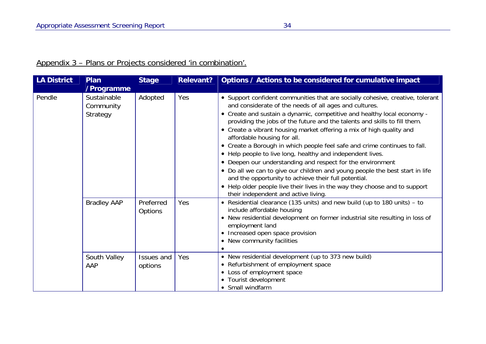## Appendix 3 – Plans or Projects considered 'in combination'.

| <b>LA District</b> | Plan<br>/Programme                   | <b>Stage</b>                | Relevant? | Options / Actions to be considered for cumulative impact                                                                                                                                                                                                                                                                                                                                                                                                                                                                                                                                                                                                                                                                                                                                                                                                                       |
|--------------------|--------------------------------------|-----------------------------|-----------|--------------------------------------------------------------------------------------------------------------------------------------------------------------------------------------------------------------------------------------------------------------------------------------------------------------------------------------------------------------------------------------------------------------------------------------------------------------------------------------------------------------------------------------------------------------------------------------------------------------------------------------------------------------------------------------------------------------------------------------------------------------------------------------------------------------------------------------------------------------------------------|
| Pendle             | Sustainable<br>Community<br>Strategy | Adopted                     | Yes       | • Support confident communities that are socially cohesive, creative, tolerant<br>and considerate of the needs of all ages and cultures.<br>• Create and sustain a dynamic, competitive and healthy local economy -<br>providing the jobs of the future and the talents and skills to fill them.<br>• Create a vibrant housing market offering a mix of high quality and<br>affordable housing for all.<br>• Create a Borough in which people feel safe and crime continues to fall.<br>• Help people to live long, healthy and independent lives.<br>• Deepen our understanding and respect for the environment<br>• Do all we can to give our children and young people the best start in life<br>and the opportunity to achieve their full potential.<br>• Help older people live their lives in the way they choose and to support<br>their independent and active living. |
|                    | <b>Bradley AAP</b>                   | Preferred<br><b>Options</b> | Yes       | • Residential clearance (135 units) and new build (up to 180 units) - to<br>include affordable housing<br>• New residential development on former industrial site resulting in loss of<br>employment land<br>• Increased open space provision<br>• New community facilities                                                                                                                                                                                                                                                                                                                                                                                                                                                                                                                                                                                                    |
|                    | South Valley<br>AAP                  | Issues and<br>options       | Yes       | • New residential development (up to 373 new build)<br>• Refurbishment of employment space<br>• Loss of employment space<br>• Tourist development<br>• Small windfarm                                                                                                                                                                                                                                                                                                                                                                                                                                                                                                                                                                                                                                                                                                          |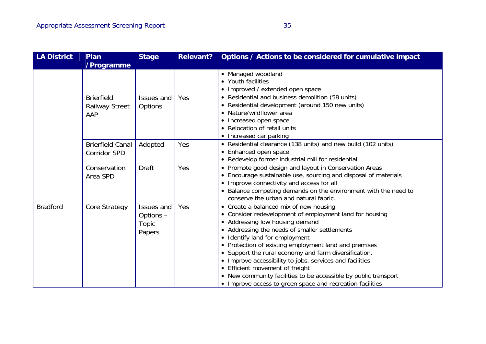| <b>LA District</b> | Plan<br>/Programme                                | <b>Stage</b>                                      | <b>Relevant?</b> | Options / Actions to be considered for cumulative impact                                                                                                                                                                                                                                                                                                                                                                                                                                                             |
|--------------------|---------------------------------------------------|---------------------------------------------------|------------------|----------------------------------------------------------------------------------------------------------------------------------------------------------------------------------------------------------------------------------------------------------------------------------------------------------------------------------------------------------------------------------------------------------------------------------------------------------------------------------------------------------------------|
|                    |                                                   |                                                   |                  | • Managed woodland<br>• Youth facilities<br>• Improved / extended open space                                                                                                                                                                                                                                                                                                                                                                                                                                         |
|                    | <b>Brierfield</b><br><b>Railway Street</b><br>AAP | Issues and<br>Options                             | Yes              | • Residential and business demolition (58 units)<br>• Residential development (around 150 new units)<br>• Nature/wildflower area<br>• Increased open space<br>• Relocation of retail units<br>• Increased car parking                                                                                                                                                                                                                                                                                                |
|                    | <b>Brierfield Canal</b><br><b>Corridor SPD</b>    | Adopted                                           | Yes              | • Residential clearance (138 units) and new build (102 units)<br>• Enhanced open space<br>• Redevelop former industrial mill for residential                                                                                                                                                                                                                                                                                                                                                                         |
|                    | Conservation<br>Area SPD                          | <b>Draft</b>                                      | Yes              | • Promote good design and layout in Conservation Areas<br>• Encourage sustainable use, sourcing and disposal of materials<br>• Improve connectivity and access for all<br>• Balance competing demands on the environment with the need to<br>conserve the urban and natural fabric.                                                                                                                                                                                                                                  |
| <b>Bradford</b>    | Core Strategy                                     | <b>Issues and</b><br>Options -<br>Topic<br>Papers | Yes              | • Create a balanced mix of new housing<br>• Consider redevelopment of employment land for housing<br>• Addressing low housing demand<br>• Addressing the needs of smaller settlements<br>• Identify land for employment<br>• Protection of existing employment land and premises<br>• Support the rural economy and farm diversification.<br>Improve accessibility to jobs, services and facilities<br>$\bullet$<br>Efficient movement of freight<br>• New community facilities to be accessible by public transport |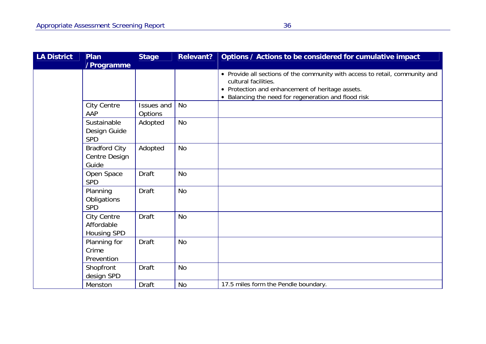| <b>LA District</b> | Plan<br>/Programme                              | <b>Stage</b>                 | <b>Relevant?</b> | Options / Actions to be considered for cumulative impact                                                                                                                                                         |
|--------------------|-------------------------------------------------|------------------------------|------------------|------------------------------------------------------------------------------------------------------------------------------------------------------------------------------------------------------------------|
|                    |                                                 |                              |                  | • Provide all sections of the community with access to retail, community and<br>cultural facilities.<br>• Protection and enhancement of heritage assets.<br>• Balancing the need for regeneration and flood risk |
|                    | <b>City Centre</b><br>AAP                       | <b>Issues and</b><br>Options | <b>No</b>        |                                                                                                                                                                                                                  |
|                    | Sustainable<br>Design Guide<br><b>SPD</b>       | Adopted                      | No               |                                                                                                                                                                                                                  |
|                    | <b>Bradford City</b><br>Centre Design<br>Guide  | Adopted                      | <b>No</b>        |                                                                                                                                                                                                                  |
|                    | Open Space<br><b>SPD</b>                        | <b>Draft</b>                 | <b>No</b>        |                                                                                                                                                                                                                  |
|                    | Planning<br>Obligations<br><b>SPD</b>           | <b>Draft</b>                 | <b>No</b>        |                                                                                                                                                                                                                  |
|                    | <b>City Centre</b><br>Affordable<br>Housing SPD | <b>Draft</b>                 | <b>No</b>        |                                                                                                                                                                                                                  |
|                    | Planning for<br>Crime<br>Prevention             | <b>Draft</b>                 | <b>No</b>        |                                                                                                                                                                                                                  |
|                    | Shopfront<br>design SPD                         | <b>Draft</b>                 | <b>No</b>        |                                                                                                                                                                                                                  |
|                    | Menston                                         | <b>Draft</b>                 | <b>No</b>        | 17.5 miles form the Pendle boundary.                                                                                                                                                                             |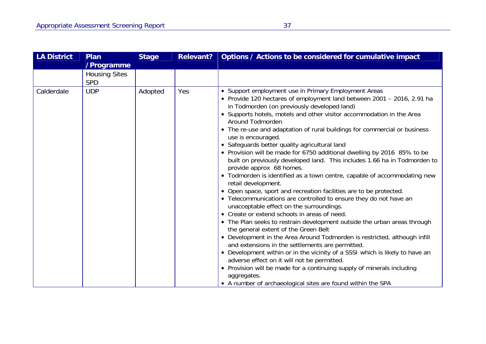| <b>LA District</b> | Plan<br>/Programme                 | <b>Stage</b> | <b>Relevant?</b> | Options / Actions to be considered for cumulative impact                                                                                                                                                                                                                                                                                                                                                                                                                                                                                                                                                                                                                                                                                                                                                                                                                                                                                                                                                                                                                                                                                                                                                                                                                                                                                                                                                                                                                                                 |
|--------------------|------------------------------------|--------------|------------------|----------------------------------------------------------------------------------------------------------------------------------------------------------------------------------------------------------------------------------------------------------------------------------------------------------------------------------------------------------------------------------------------------------------------------------------------------------------------------------------------------------------------------------------------------------------------------------------------------------------------------------------------------------------------------------------------------------------------------------------------------------------------------------------------------------------------------------------------------------------------------------------------------------------------------------------------------------------------------------------------------------------------------------------------------------------------------------------------------------------------------------------------------------------------------------------------------------------------------------------------------------------------------------------------------------------------------------------------------------------------------------------------------------------------------------------------------------------------------------------------------------|
|                    | <b>Housing Sites</b><br><b>SPD</b> |              |                  |                                                                                                                                                                                                                                                                                                                                                                                                                                                                                                                                                                                                                                                                                                                                                                                                                                                                                                                                                                                                                                                                                                                                                                                                                                                                                                                                                                                                                                                                                                          |
| Calderdale         | <b>UDP</b>                         | Adopted      | Yes              | • Support employment use in Primary Employment Areas<br>• Provide 120 hectares of employment land between 2001 - 2016, 2.91 ha<br>in Todmorden (on previously developed land)<br>• Supports hotels, motels and other visitor accommodation in the Area<br>Around Todmorden<br>• The re-use and adaptation of rural buildings for commercial or business<br>use is encouraged.<br>• Safeguards better quality agricultural land<br>• Provision will be made for 6750 additional dwelling by 2016 85% to be<br>built on previously developed land. This includes 1.66 ha in Todmorden to<br>provide approx 68 homes.<br>• Todmorden is identified as a town centre, capable of accommodating new<br>retail development.<br>• Open space, sport and recreation facilities are to be protected.<br>• Telecommunications are controlled to ensure they do not have an<br>unacceptable effect on the surroundings.<br>• Create or extend schools in areas of need.<br>• The Plan seeks to restrain development outside the urban areas through<br>the general extent of the Green Belt<br>• Development in the Area Around Todmorden is restricted, although infill<br>and extensions in the settlements are permitted.<br>• Development within or in the vicinity of a SSSI which is likely to have an<br>adverse effect on it will not be permitted.<br>• Provision will be made for a continuing supply of minerals including<br>aggregates.<br>• A number of archaeological sites are found within the SPA |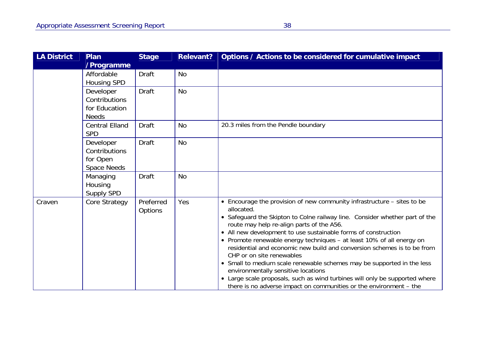| LA District | Plan<br>/Programme                                          | <b>Stage</b>         | <b>Relevant?</b> | Options / Actions to be considered for cumulative impact                                                                                                                                                                                                                                                                                                                                                                                                                                                                                                                                                                                                                                                                                   |
|-------------|-------------------------------------------------------------|----------------------|------------------|--------------------------------------------------------------------------------------------------------------------------------------------------------------------------------------------------------------------------------------------------------------------------------------------------------------------------------------------------------------------------------------------------------------------------------------------------------------------------------------------------------------------------------------------------------------------------------------------------------------------------------------------------------------------------------------------------------------------------------------------|
|             | Affordable<br><b>Housing SPD</b>                            | <b>Draft</b>         | <b>No</b>        |                                                                                                                                                                                                                                                                                                                                                                                                                                                                                                                                                                                                                                                                                                                                            |
|             | Developer<br>Contributions<br>for Education<br><b>Needs</b> | <b>Draft</b>         | <b>No</b>        |                                                                                                                                                                                                                                                                                                                                                                                                                                                                                                                                                                                                                                                                                                                                            |
|             | <b>Central Elland</b><br><b>SPD</b>                         | <b>Draft</b>         | <b>No</b>        | 20.3 miles from the Pendle boundary                                                                                                                                                                                                                                                                                                                                                                                                                                                                                                                                                                                                                                                                                                        |
|             | Developer<br>Contributions<br>for Open<br>Space Needs       | <b>Draft</b>         | <b>No</b>        |                                                                                                                                                                                                                                                                                                                                                                                                                                                                                                                                                                                                                                                                                                                                            |
|             | Managing<br>Housing<br>Supply SPD                           | <b>Draft</b>         | <b>No</b>        |                                                                                                                                                                                                                                                                                                                                                                                                                                                                                                                                                                                                                                                                                                                                            |
| Craven      | Core Strategy                                               | Preferred<br>Options | Yes              | • Encourage the provision of new community infrastructure – sites to be<br>allocated.<br>• Safeguard the Skipton to Colne railway line. Consider whether part of the<br>route may help re-align parts of the A56.<br>• All new development to use sustainable forms of construction<br>• Promote renewable energy techniques - at least 10% of all energy on<br>residential and economic new build and conversion schemes is to be from<br>CHP or on site renewables<br>• Small to medium scale renewable schemes may be supported in the less<br>environmentally sensitive locations<br>• Large scale proposals, such as wind turbines will only be supported where<br>there is no adverse impact on communities or the environment – the |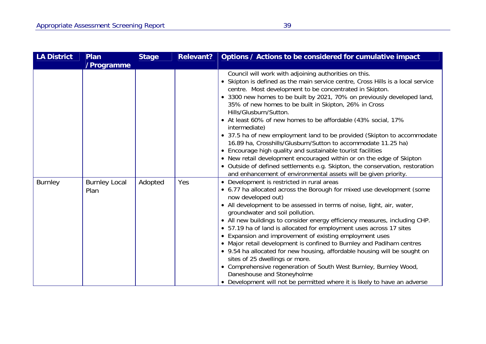| <b>LA District</b> | Plan<br>/Programme           | <b>Stage</b> | <b>Relevant?</b> | Options / Actions to be considered for cumulative impact                                                                                                                                                                                                                                                                                                                                                                                                                                                                                                                                                                                                                                                                                                                                                                                                                                  |
|--------------------|------------------------------|--------------|------------------|-------------------------------------------------------------------------------------------------------------------------------------------------------------------------------------------------------------------------------------------------------------------------------------------------------------------------------------------------------------------------------------------------------------------------------------------------------------------------------------------------------------------------------------------------------------------------------------------------------------------------------------------------------------------------------------------------------------------------------------------------------------------------------------------------------------------------------------------------------------------------------------------|
|                    |                              |              |                  | Council will work with adjoining authorities on this.<br>• Skipton is defined as the main service centre, Cross Hills is a local service<br>centre. Most development to be concentrated in Skipton.<br>• 3300 new homes to be built by 2021, 70% on previously developed land,<br>35% of new homes to be built in Skipton, 26% in Cross<br>Hills/Glusburn/Sutton.<br>• At least 60% of new homes to be affordable (43% social, 17%<br>intermediate)<br>• 37.5 ha of new employment land to be provided (Skipton to accommodate<br>16.89 ha, Crosshills/Glusburn/Sutton to accommodate 11.25 ha)<br>• Encourage high quality and sustainable tourist facilities<br>• New retail development encouraged within or on the edge of Skipton<br>• Outside of defined settlements e.g. Skipton, the conservation, restoration<br>and enhancement of environmental assets will be given priority. |
| <b>Burnley</b>     | <b>Burnley Local</b><br>Plan | Adopted      | Yes              | • Development is restricted in rural areas<br>• 6.77 ha allocated across the Borough for mixed use development (some<br>now developed out)<br>• All development to be assessed in terms of noise, light, air, water,<br>groundwater and soil pollution.<br>• All new buildings to consider energy efficiency measures, including CHP.<br>• 57.19 ha of land is allocated for employment uses across 17 sites<br>• Expansion and improvement of existing employment uses<br>• Major retail development is confined to Burnley and Padiham centres<br>• 9.54 ha allocated for new housing, affordable housing will be sought on<br>sites of 25 dwellings or more.<br>• Comprehensive regeneration of South West Burnley, Burnley Wood,<br>Daneshouse and Stoneyholme<br>• Development will not be permitted where it is likely to have an adverse                                           |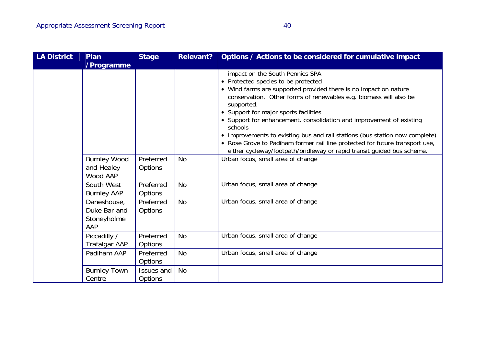| <b>LA District</b> | <b>Plan</b><br>/Programme                         | <b>Stage</b>                 | <b>Relevant?</b> | Options / Actions to be considered for cumulative impact                                                                                                                                                                                                                                                                                                                                                                                                                                                                                                                                         |
|--------------------|---------------------------------------------------|------------------------------|------------------|--------------------------------------------------------------------------------------------------------------------------------------------------------------------------------------------------------------------------------------------------------------------------------------------------------------------------------------------------------------------------------------------------------------------------------------------------------------------------------------------------------------------------------------------------------------------------------------------------|
|                    |                                                   |                              |                  | impact on the South Pennies SPA<br>• Protected species to be protected<br>• Wind farms are supported provided there is no impact on nature<br>conservation. Other forms of renewables e.g. biomass will also be<br>supported.<br>• Support for major sports facilities<br>• Support for enhancement, consolidation and improvement of existing<br>schools<br>Improvements to existing bus and rail stations (bus station now complete)<br>• Rose Grove to Padiham former rail line protected for future transport use,<br>either cycleway/footpath/bridleway or rapid transit guided bus scheme. |
|                    | <b>Burnley Wood</b><br>and Healey<br>Wood AAP     | Preferred<br>Options         | No               | Urban focus, small area of change                                                                                                                                                                                                                                                                                                                                                                                                                                                                                                                                                                |
|                    | South West<br><b>Burnley AAP</b>                  | Preferred<br>Options         | <b>No</b>        | Urban focus, small area of change                                                                                                                                                                                                                                                                                                                                                                                                                                                                                                                                                                |
|                    | Daneshouse,<br>Duke Bar and<br>Stoneyholme<br>AAP | Preferred<br>Options         | <b>No</b>        | Urban focus, small area of change                                                                                                                                                                                                                                                                                                                                                                                                                                                                                                                                                                |
|                    | Piccadilly /<br><b>Trafalgar AAP</b>              | Preferred<br>Options         | No               | Urban focus, small area of change                                                                                                                                                                                                                                                                                                                                                                                                                                                                                                                                                                |
|                    | Padiham AAP                                       | Preferred<br><b>Options</b>  | <b>No</b>        | Urban focus, small area of change                                                                                                                                                                                                                                                                                                                                                                                                                                                                                                                                                                |
|                    | <b>Burnley Town</b><br>Centre                     | Issues and<br><b>Options</b> | <b>No</b>        |                                                                                                                                                                                                                                                                                                                                                                                                                                                                                                                                                                                                  |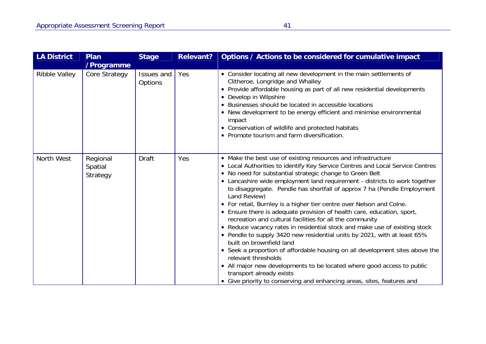| <b>LA District</b>   | Plan<br>/Programme              | <b>Stage</b>          | <b>Relevant?</b> | Options / Actions to be considered for cumulative impact                                                                                                                                                                                                                                                                                                                                                                                                                                                                                                                                                                                                                                                                                                                                                                                                                                                                                                                                                                                                                    |
|----------------------|---------------------------------|-----------------------|------------------|-----------------------------------------------------------------------------------------------------------------------------------------------------------------------------------------------------------------------------------------------------------------------------------------------------------------------------------------------------------------------------------------------------------------------------------------------------------------------------------------------------------------------------------------------------------------------------------------------------------------------------------------------------------------------------------------------------------------------------------------------------------------------------------------------------------------------------------------------------------------------------------------------------------------------------------------------------------------------------------------------------------------------------------------------------------------------------|
| <b>Ribble Valley</b> | Core Strategy                   | Issues and<br>Options | Yes              | • Consider locating all new development in the main settlements of<br>Clitheroe, Longridge and Whalley<br>• Provide affordable housing as part of all new residential developments<br>• Develop in Wilpshire<br>• Businesses should be located in accessible locations<br>• New development to be energy efficient and minimise environmental<br>impact<br>• Conservation of wildlife and protected habitats<br>• Promote tourism and farm diversification.                                                                                                                                                                                                                                                                                                                                                                                                                                                                                                                                                                                                                 |
| North West           | Regional<br>Spatial<br>Strategy | <b>Draft</b>          | Yes              | • Make the best use of existing resources and infrastructure<br>• Local Authorities to identify Key Service Centres and Local Service Centres<br>• No need for substantial strategic change to Green Belt<br>• Lancashire wide employment land requirement - districts to work together<br>to disaggregate. Pendle has shortfall of approx 7 ha (Pendle Employment<br>Land Review)<br>• For retail, Burnley is a higher tier centre over Nelson and Colne.<br>• Ensure there is adequate provision of health care, education, sport,<br>recreation and cultural facilities for all the community<br>• Reduce vacancy rates in residential stock and make use of existing stock<br>• Pendle to supply 3420 new residential units by 2021, with at least 65%<br>built on brownfield land<br>• Seek a proportion of affordable housing on all development sites above the<br>relevant thresholds<br>All major new developments to be located where good access to public<br>transport already exists<br>• Give priority to conserving and enhancing areas, sites, features and |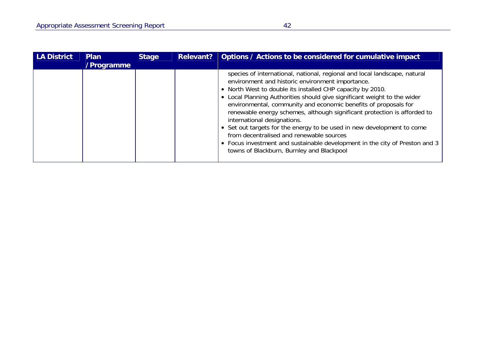| <b>LA District</b> | <b>Plan</b><br>/Programme | <b>Stage</b> | Relevant? | Options / Actions to be considered for cumulative impact                                                                                                                                                                                                                                                                                                                                                                                                                                                                                                                                                                                                                                                |
|--------------------|---------------------------|--------------|-----------|---------------------------------------------------------------------------------------------------------------------------------------------------------------------------------------------------------------------------------------------------------------------------------------------------------------------------------------------------------------------------------------------------------------------------------------------------------------------------------------------------------------------------------------------------------------------------------------------------------------------------------------------------------------------------------------------------------|
|                    |                           |              |           | species of international, national, regional and local landscape, natural<br>environment and historic environment importance.<br>• North West to double its installed CHP capacity by 2010.<br>• Local Planning Authorities should give significant weight to the wider<br>environmental, community and economic benefits of proposals for<br>renewable energy schemes, although significant protection is afforded to<br>international designations.<br>• Set out targets for the energy to be used in new development to come<br>from decentralised and renewable sources<br>• Focus investment and sustainable development in the city of Preston and 3<br>towns of Blackburn, Burnley and Blackpool |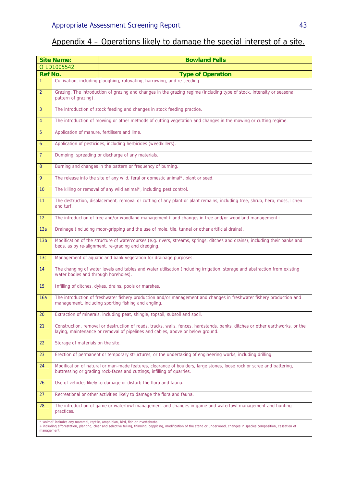## Appendix 4 – Operations likely to damage the special interest of a site.

|                 | <b>Site Name:</b>                                                                                                                                                                               | <b>Bowland Fells</b>                                                                                                                                                                                                                                         |  |  |  |  |  |
|-----------------|-------------------------------------------------------------------------------------------------------------------------------------------------------------------------------------------------|--------------------------------------------------------------------------------------------------------------------------------------------------------------------------------------------------------------------------------------------------------------|--|--|--|--|--|
|                 | O LD1005542                                                                                                                                                                                     |                                                                                                                                                                                                                                                              |  |  |  |  |  |
| <b>Ref No.</b>  |                                                                                                                                                                                                 | <b>Type of Operation</b>                                                                                                                                                                                                                                     |  |  |  |  |  |
| $\mathbf{1}$    |                                                                                                                                                                                                 | Cultivation, including ploughing, rotovating, harrowing, and re-seeding.                                                                                                                                                                                     |  |  |  |  |  |
| $\overline{2}$  | Grazing. The introduction of grazing and changes in the grazing regime (including type of stock, intensity or seasonal<br>pattern of grazing).                                                  |                                                                                                                                                                                                                                                              |  |  |  |  |  |
| 3               |                                                                                                                                                                                                 | The introduction of stock feeding and changes in stock feeding practice.                                                                                                                                                                                     |  |  |  |  |  |
| $\overline{4}$  |                                                                                                                                                                                                 | The introduction of mowing or other methods of cutting vegetation and changes in the mowing or cutting regime.                                                                                                                                               |  |  |  |  |  |
| 5               | Application of manure, fertilisers and lime.                                                                                                                                                    |                                                                                                                                                                                                                                                              |  |  |  |  |  |
| $\overline{6}$  |                                                                                                                                                                                                 | Application of pesticides, including herbicides (weedkillers).                                                                                                                                                                                               |  |  |  |  |  |
| $\overline{7}$  |                                                                                                                                                                                                 | Dumping, spreading or discharge of any materials.                                                                                                                                                                                                            |  |  |  |  |  |
| 8               |                                                                                                                                                                                                 | Burning and changes in the pattern or frequency of burning.                                                                                                                                                                                                  |  |  |  |  |  |
| 9               |                                                                                                                                                                                                 | The release into the site of any wild, feral or domestic animal*, plant or seed.                                                                                                                                                                             |  |  |  |  |  |
| 10              |                                                                                                                                                                                                 | The killing or removal of any wild animal*, including pest control.                                                                                                                                                                                          |  |  |  |  |  |
| 11              | and turf.                                                                                                                                                                                       | The destruction, displacement, removal or cutting of any plant or plant remains, including tree, shrub, herb, moss, lichen                                                                                                                                   |  |  |  |  |  |
| 12              |                                                                                                                                                                                                 | The introduction of tree and/or woodland management+ and changes in tree and/or woodland management+.                                                                                                                                                        |  |  |  |  |  |
| 13a             |                                                                                                                                                                                                 | Drainage (including moor-gripping and the use of mole, tile, tunnel or other artificial drains).                                                                                                                                                             |  |  |  |  |  |
| 13 <sub>b</sub> |                                                                                                                                                                                                 | Modification of the structure of watercourses (e.g. rivers, streams, springs, ditches and drains), including their banks and<br>beds, as by re-alignment, re-grading and dredging.                                                                           |  |  |  |  |  |
| 13c             | Management of aquatic and bank vegetation for drainage purposes.                                                                                                                                |                                                                                                                                                                                                                                                              |  |  |  |  |  |
| 14              | water bodies and through boreholes).                                                                                                                                                            | The changing of water levels and tables and water utilisation (including irrigation, storage and abstraction from existing                                                                                                                                   |  |  |  |  |  |
| 15              |                                                                                                                                                                                                 | Infilling of ditches, dykes, drains, pools or marshes.                                                                                                                                                                                                       |  |  |  |  |  |
| 16a             |                                                                                                                                                                                                 | The introduction of freshwater fishery production and/or management and changes in freshwater fishery production and<br>management, including sporting fishing and angling.                                                                                  |  |  |  |  |  |
| 20              |                                                                                                                                                                                                 | Extraction of minerals, including peat, shingle, topsoil, subsoil and spoil.                                                                                                                                                                                 |  |  |  |  |  |
| 21              |                                                                                                                                                                                                 | Construction, removal or destruction of roads, tracks, walls, fences, hardstands, banks, ditches or other earthworks, or the<br>laying, maintenance or removal of pipelines and cables, above or below ground.                                               |  |  |  |  |  |
| 22              | Storage of materials on the site.                                                                                                                                                               |                                                                                                                                                                                                                                                              |  |  |  |  |  |
| 23              |                                                                                                                                                                                                 | Erection of permanent or temporary structures, or the undertaking of engineering works, including drilling.                                                                                                                                                  |  |  |  |  |  |
| 24              | Modification of natural or man-made features, clearance of boulders, large stones, loose rock or scree and battering,<br>buttressing or grading rock-faces and cuttings, infilling of quarries. |                                                                                                                                                                                                                                                              |  |  |  |  |  |
| 26              |                                                                                                                                                                                                 | Use of vehicles likely to damage or disturb the flora and fauna.                                                                                                                                                                                             |  |  |  |  |  |
| 27              |                                                                                                                                                                                                 | Recreational or other activities likely to damage the flora and fauna.                                                                                                                                                                                       |  |  |  |  |  |
| 28              | practices.                                                                                                                                                                                      | The introduction of game or waterfowl management and changes in game and waterfowl management and hunting                                                                                                                                                    |  |  |  |  |  |
| management.     |                                                                                                                                                                                                 | 'animal' includes any mammal, reptile, amphibian, bird, fish or invertebrate.<br>+ including afforestation, planting, clear and selective felling, thinning, coppicing, modification of the stand or underwood, changes in species composition, cessation of |  |  |  |  |  |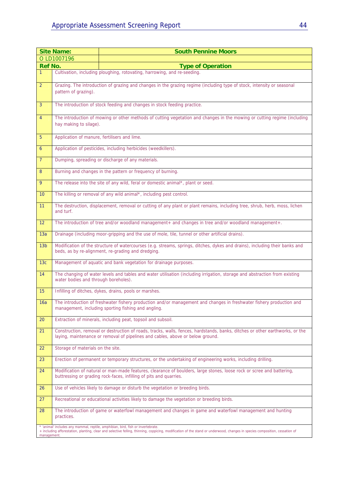|                 | <b>Site Name:</b>                                                                                                                                                                           | <b>South Pennine Moors</b>                                                                                                                                                                                                                                   |  |  |  |  |  |  |
|-----------------|---------------------------------------------------------------------------------------------------------------------------------------------------------------------------------------------|--------------------------------------------------------------------------------------------------------------------------------------------------------------------------------------------------------------------------------------------------------------|--|--|--|--|--|--|
|                 | O LD1007196                                                                                                                                                                                 |                                                                                                                                                                                                                                                              |  |  |  |  |  |  |
| <b>Ref No.</b>  |                                                                                                                                                                                             | <b>Type of Operation</b>                                                                                                                                                                                                                                     |  |  |  |  |  |  |
| $\mathbf{1}$    |                                                                                                                                                                                             | Cultivation, including ploughing, rotovating, harrowing, and re-seeding.                                                                                                                                                                                     |  |  |  |  |  |  |
| $\overline{2}$  | Grazing. The introduction of grazing and changes in the grazing regime (including type of stock, intensity or seasonal<br>pattern of grazing).                                              |                                                                                                                                                                                                                                                              |  |  |  |  |  |  |
| 3               |                                                                                                                                                                                             | The introduction of stock feeding and changes in stock feeding practice.                                                                                                                                                                                     |  |  |  |  |  |  |
| $\overline{4}$  | hay making to silage).                                                                                                                                                                      | The introduction of mowing or other methods of cutting vegetation and changes in the mowing or cutting regime (including                                                                                                                                     |  |  |  |  |  |  |
| 5               | Application of manure, fertilisers and lime.                                                                                                                                                |                                                                                                                                                                                                                                                              |  |  |  |  |  |  |
| 6               |                                                                                                                                                                                             | Application of pesticides, including herbicides (weedkillers).                                                                                                                                                                                               |  |  |  |  |  |  |
| 7 <sup>1</sup>  |                                                                                                                                                                                             | Dumping, spreading or discharge of any materials.                                                                                                                                                                                                            |  |  |  |  |  |  |
| 8               |                                                                                                                                                                                             | Burning and changes in the pattern or frequency of burning.                                                                                                                                                                                                  |  |  |  |  |  |  |
| 9               |                                                                                                                                                                                             | The release into the site of any wild, feral or domestic animal*, plant or seed.                                                                                                                                                                             |  |  |  |  |  |  |
| 10              |                                                                                                                                                                                             | The killing or removal of any wild animal*, including pest control.                                                                                                                                                                                          |  |  |  |  |  |  |
| 11              | and turf.                                                                                                                                                                                   | The destruction, displacement, removal or cutting of any plant or plant remains, including tree, shrub, herb, moss, lichen                                                                                                                                   |  |  |  |  |  |  |
| 12              |                                                                                                                                                                                             | The introduction of tree and/or woodland management+ and changes in tree and/or woodland management+.                                                                                                                                                        |  |  |  |  |  |  |
| 13a             |                                                                                                                                                                                             | Drainage (including moor-gripping and the use of mole, tile, tunnel or other artificial drains).                                                                                                                                                             |  |  |  |  |  |  |
| 13 <sub>b</sub> | Modification of the structure of watercourses (e.g. streams, springs, ditches, dykes and drains), including their banks and<br>beds, as by re-alignment, re-grading and dredging.           |                                                                                                                                                                                                                                                              |  |  |  |  |  |  |
| 13c             |                                                                                                                                                                                             | Management of aquatic and bank vegetation for drainage purposes.                                                                                                                                                                                             |  |  |  |  |  |  |
| 14              | water bodies and through boreholes).                                                                                                                                                        | The changing of water levels and tables and water utilisation (including irrigation, storage and abstraction from existing                                                                                                                                   |  |  |  |  |  |  |
| 15              |                                                                                                                                                                                             | Infilling of ditches, dykes, drains, pools or marshes.                                                                                                                                                                                                       |  |  |  |  |  |  |
| 16a             |                                                                                                                                                                                             | The introduction of freshwater fishery production and/or management and changes in freshwater fishery production and<br>management, including sporting fishing and angling.                                                                                  |  |  |  |  |  |  |
| 20              |                                                                                                                                                                                             | Extraction of minerals, including peat, topsoil and subsoil.                                                                                                                                                                                                 |  |  |  |  |  |  |
| 21              |                                                                                                                                                                                             | Construction, removal or destruction of roads, tracks, walls, fences, hardstands, banks, ditches or other earthworks, or the<br>laying, maintenance or removal of pipelines and cables, above or below ground.                                               |  |  |  |  |  |  |
| 22              | Storage of materials on the site.                                                                                                                                                           |                                                                                                                                                                                                                                                              |  |  |  |  |  |  |
| 23              | Erection of permanent or temporary structures, or the undertaking of engineering works, including drilling.                                                                                 |                                                                                                                                                                                                                                                              |  |  |  |  |  |  |
| 24              | Modification of natural or man-made features, clearance of boulders, large stones, loose rock or scree and battering,<br>buttressing or grading rock-faces, infilling of pits and quarries. |                                                                                                                                                                                                                                                              |  |  |  |  |  |  |
| 26              |                                                                                                                                                                                             | Use of vehicles likely to damage or disturb the vegetation or breeding birds.                                                                                                                                                                                |  |  |  |  |  |  |
| 27              |                                                                                                                                                                                             | Recreational or educational activities likely to damage the vegetation or breeding birds.                                                                                                                                                                    |  |  |  |  |  |  |
| 28              | practices.                                                                                                                                                                                  | The introduction of game or waterfowl management and changes in game and waterfowl management and hunting                                                                                                                                                    |  |  |  |  |  |  |
| management      |                                                                                                                                                                                             | 'animal' includes any mammal, reptile, amphibian, bird, fish or invertebrate.<br>+ including afforestation, planting, clear and selective felling, thinning, coppicing, modification of the stand or underwood, changes in species composition, cessation of |  |  |  |  |  |  |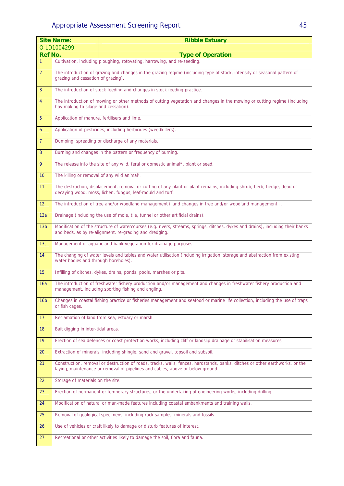|                 | <b>Site Name:</b>                            | <b>Ribble Estuary</b>                                                                                                                                                                                          |
|-----------------|----------------------------------------------|----------------------------------------------------------------------------------------------------------------------------------------------------------------------------------------------------------------|
|                 | O LD1004299                                  |                                                                                                                                                                                                                |
| <b>Ref No.</b>  |                                              | <b>Type of Operation</b>                                                                                                                                                                                       |
| $\overline{1}$  |                                              | Cultivation, including ploughing, rotovating, harrowing, and re-seeding.                                                                                                                                       |
| $\overline{2}$  | grazing and cessation of grazing).           | The introduction of grazing and changes in the grazing regime (including type of stock, intensity or seasonal pattern of                                                                                       |
| $\overline{3}$  |                                              | The introduction of stock feeding and changes in stock feeding practice.                                                                                                                                       |
| $\overline{4}$  | hay making to silage and cessation).         | The introduction of mowing or other methods of cutting vegetation and changes in the mowing or cutting regime (including                                                                                       |
| 5               | Application of manure, fertilisers and lime. |                                                                                                                                                                                                                |
| 6               |                                              | Application of pesticides, including herbicides (weedkillers).                                                                                                                                                 |
| $\overline{7}$  |                                              | Dumping, spreading or discharge of any materials.                                                                                                                                                              |
| 8               |                                              | Burning and changes in the pattern or frequency of burning.                                                                                                                                                    |
| 9               |                                              | The release into the site of any wild, feral or domestic animal*, plant or seed.                                                                                                                               |
| 10 <sup>°</sup> | The killing or removal of any wild animal*.  |                                                                                                                                                                                                                |
| 11              |                                              | The destruction, displacement, removal or cutting of any plant or plant remains, including shrub, herb, hedge, dead or<br>decaying wood, moss, lichen, fungus, leaf-mould and turf.                            |
| 12 <sup>2</sup> |                                              | The introduction of tree and/or woodland management+ and changes in tree and/or woodland management+.                                                                                                          |
| 13a             |                                              | Drainage (including the use of mole, tile, tunnel or other artificial drains).                                                                                                                                 |
| 13 <sub>b</sub> |                                              | Modification of the structure of watercourses (e.g. rivers, streams, springs, ditches, dykes and drains), including their banks<br>and beds, as by re-alignment, re-grading and dredging.                      |
| 13c             |                                              | Management of aquatic and bank vegetation for drainage purposes.                                                                                                                                               |
| 14              | water bodies and through boreholes).         | The changing of water levels and tables and water utilisation (including irrigation, storage and abstraction from existing                                                                                     |
| 15              |                                              | Infilling of ditches, dykes, drains, ponds, pools, marshes or pits.                                                                                                                                            |
| 16a             |                                              | The introduction of freshwater fishery production and/or management and changes in freshwater fishery production and<br>management, including sporting fishing and angling.                                    |
| 16 <sub>b</sub> | or fish cages.                               | Changes in coastal fishing practice or fisheries management and seafood or marine life collection, including the use of traps                                                                                  |
| 17 <sup>2</sup> |                                              | Reclamation of land from sea, estuary or marsh.                                                                                                                                                                |
| 18              | Bait digging in inter-tidal areas.           |                                                                                                                                                                                                                |
| 19              |                                              | Erection of sea defences or coast protection works, including cliff or landslip drainage or stabilisation measures.                                                                                            |
| 20              |                                              | Extraction of minerals, including shingle, sand and gravel, topsoil and subsoil.                                                                                                                               |
| 21              |                                              | Construction, removal or destruction of roads, tracks, walls, fences, hardstands, banks, ditches or other earthworks, or the<br>laying, maintenance or removal of pipelines and cables, above or below ground. |
| 22              | Storage of materials on the site.            |                                                                                                                                                                                                                |
| 23              |                                              | Erection of permanent or temporary structures, or the undertaking of engineering works, including drilling.                                                                                                    |
| 24              |                                              | Modification of natural or man-made features including coastal embankments and training walls.                                                                                                                 |
| 25              |                                              | Removal of geological specimens, including rock samples, minerals and fossils.                                                                                                                                 |
| 26              |                                              | Use of vehicles or craft likely to damage or disturb features of interest.                                                                                                                                     |
| 27              |                                              | Recreational or other activities likely to damage the soil, flora and fauna.                                                                                                                                   |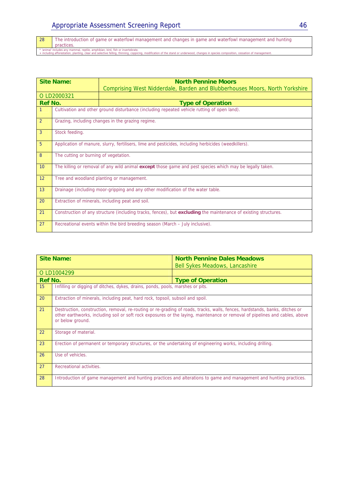| Appropriate Assessment Screening Report |  |
|-----------------------------------------|--|
|                                         |  |

28 The introduction of game or waterfowl management and changes in game and waterfowl management and hunting practices.

\* 'animal' includes any mammal, reptile, amphibian, bird, fish or invertebrate.<br>+ including afforestation, planting, clear and selective felling, thinning, coppicing, modification of the stand or underwood, changes in spec

| <b>Site Name:</b> |                                                                                                                 | <b>North Pennine Moors</b>                                                  |  |
|-------------------|-----------------------------------------------------------------------------------------------------------------|-----------------------------------------------------------------------------|--|
|                   |                                                                                                                 | Comprising West Nidderdale, Barden and Blubberhouses Moors, North Yorkshire |  |
| O LD2000321       |                                                                                                                 |                                                                             |  |
| <b>Ref No.</b>    |                                                                                                                 | <b>Type of Operation</b>                                                    |  |
|                   | Cultivation and other ground disturbance (including repeated vehicle rutting of open land).                     |                                                                             |  |
| $\overline{2}$    | Grazing, including changes in the grazing regime.                                                               |                                                                             |  |
| $\overline{3}$    | Stock feeding.                                                                                                  |                                                                             |  |
| 5                 | Application of manure, slurry, fertilisers, lime and pesticides, including herbicides (weedkillers).            |                                                                             |  |
| 8                 | The cutting or burning of vegetation.                                                                           |                                                                             |  |
| 10                | The killing or removal of any wild animal except those game and pest species which may be legally taken.        |                                                                             |  |
| 12                | Tree and woodland planting or management.                                                                       |                                                                             |  |
| 13                | Drainage (including moor-gripping and any other modification of the water table.                                |                                                                             |  |
| 20                | Extraction of minerals, including peat and soil.                                                                |                                                                             |  |
| 21                | Construction of any structure (including tracks, fences), but excluding the maintenance of existing structures. |                                                                             |  |
| 27                | Recreational events within the bird breeding season (March – July inclusive).                                   |                                                                             |  |

|                  | <b>Site Name:</b>                                                                                                                                                                                                                                                               | <b>North Pennine Dales Meadows</b>    |  |  |
|------------------|---------------------------------------------------------------------------------------------------------------------------------------------------------------------------------------------------------------------------------------------------------------------------------|---------------------------------------|--|--|
|                  |                                                                                                                                                                                                                                                                                 | <b>Bell Sykes Meadows, Lancashire</b> |  |  |
|                  | O LD1004299                                                                                                                                                                                                                                                                     |                                       |  |  |
| <b>Ref No.</b>   |                                                                                                                                                                                                                                                                                 | <b>Type of Operation</b>              |  |  |
| 15 <sup>15</sup> | Infilling or digging of ditches, dykes, drains, ponds, pools, marshes or pits.                                                                                                                                                                                                  |                                       |  |  |
| 20               | Extraction of minerals, including peat, hard rock, topsoil, subsoil and spoil.                                                                                                                                                                                                  |                                       |  |  |
| 21               | Destruction, construction, removal, re-routing or re-grading of roads, tracks, walls, fences, hardstands, banks, ditches or<br>other earthworks, including soil or soft rock exposures or the laying, maintenance or removal of pipelines and cables, above<br>or below ground. |                                       |  |  |
| 22               | Storage of material.                                                                                                                                                                                                                                                            |                                       |  |  |
| 23               | Erection of permanent or temporary structures, or the undertaking of engineering works, including drilling.                                                                                                                                                                     |                                       |  |  |
| 26               | Use of vehicles.                                                                                                                                                                                                                                                                |                                       |  |  |
| 27               | Recreational activities.                                                                                                                                                                                                                                                        |                                       |  |  |
| 28               | Introduction of game management and hunting practices and alterations to game and management and hunting practices.                                                                                                                                                             |                                       |  |  |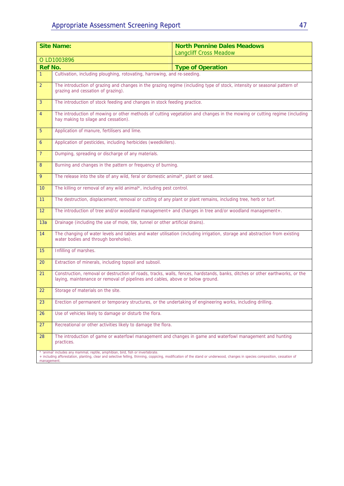| <b>Site Name:</b> |                                                                                                                                                                                                                                                                             | <b>North Pennine Dales Meadows</b><br><b>Langcliff Cross Meadow</b> |  |  |  |
|-------------------|-----------------------------------------------------------------------------------------------------------------------------------------------------------------------------------------------------------------------------------------------------------------------------|---------------------------------------------------------------------|--|--|--|
| O LD1003896       |                                                                                                                                                                                                                                                                             |                                                                     |  |  |  |
| <b>Ref No.</b>    |                                                                                                                                                                                                                                                                             | <b>Type of Operation</b>                                            |  |  |  |
| $\mathbf{1}$      | Cultivation, including ploughing, rotovating, harrowing, and re-seeding.                                                                                                                                                                                                    |                                                                     |  |  |  |
| $\overline{2}$    | The introduction of grazing and changes in the grazing regime (including type of stock, intensity or seasonal pattern of<br>grazing and cessation of grazing).                                                                                                              |                                                                     |  |  |  |
| 3                 | The introduction of stock feeding and changes in stock feeding practice.                                                                                                                                                                                                    |                                                                     |  |  |  |
| $\overline{4}$    | The introduction of mowing or other methods of cutting vegetation and changes in the mowing or cutting regime (including<br>hay making to silage and cessation).                                                                                                            |                                                                     |  |  |  |
| 5                 | Application of manure, fertilisers and lime.                                                                                                                                                                                                                                |                                                                     |  |  |  |
| 6                 | Application of pesticides, including herbicides (weedkillers).                                                                                                                                                                                                              |                                                                     |  |  |  |
| $\overline{7}$    | Dumping, spreading or discharge of any materials.                                                                                                                                                                                                                           |                                                                     |  |  |  |
| 8                 | Burning and changes in the pattern or frequency of burning.                                                                                                                                                                                                                 |                                                                     |  |  |  |
| 9                 | The release into the site of any wild, feral or domestic animal*, plant or seed.                                                                                                                                                                                            |                                                                     |  |  |  |
| 10 <sup>°</sup>   | The killing or removal of any wild animal*, including pest control.                                                                                                                                                                                                         |                                                                     |  |  |  |
| 11                | The destruction, displacement, removal or cutting of any plant or plant remains, including tree, herb or turf.                                                                                                                                                              |                                                                     |  |  |  |
| 12                | The introduction of tree and/or woodland management+ and changes in tree and/or woodland management+.                                                                                                                                                                       |                                                                     |  |  |  |
| 13a               | Drainage (including the use of mole, tile, tunnel or other artificial drains).                                                                                                                                                                                              |                                                                     |  |  |  |
| 14                | The changing of water levels and tables and water utilisation (including irrigation, storage and abstraction from existing<br>water bodies and through boreholes).                                                                                                          |                                                                     |  |  |  |
| 15                | Infilling of marshes.                                                                                                                                                                                                                                                       |                                                                     |  |  |  |
| 20                | Extraction of minerals, including topsoil and subsoil.                                                                                                                                                                                                                      |                                                                     |  |  |  |
| 21                | Construction, removal or destruction of roads, tracks, walls, fences, hardstands, banks, ditches or other earthworks, or the<br>laying, maintenance or removal of pipelines and cables, above or below ground.                                                              |                                                                     |  |  |  |
| 22                | Storage of materials on the site.                                                                                                                                                                                                                                           |                                                                     |  |  |  |
| 23                | Erection of permanent or temporary structures, or the undertaking of engineering works, including drilling.                                                                                                                                                                 |                                                                     |  |  |  |
| 26                | Use of vehicles likely to damage or disturb the flora.                                                                                                                                                                                                                      |                                                                     |  |  |  |
| 27                | Recreational or other activities likely to damage the flora.                                                                                                                                                                                                                |                                                                     |  |  |  |
| 28                | The introduction of game or waterfowl management and changes in game and waterfowl management and hunting<br>practices.                                                                                                                                                     |                                                                     |  |  |  |
|                   | 'animal' includes any mammal, reptile, amphibian, bird, fish or invertebrate.<br>+ including afforestation, planting, clear and selective felling, thinning, coppicing, modification of the stand or underwood, changes in species composition, cessation of<br>management. |                                                                     |  |  |  |